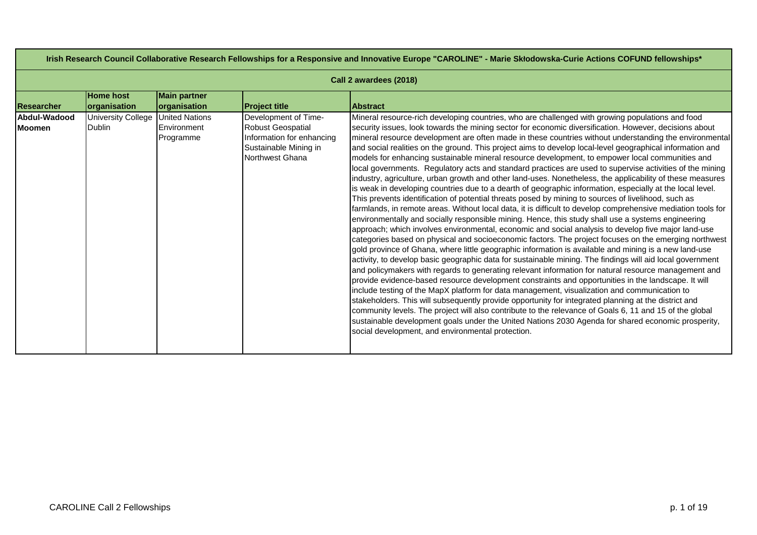| Irish Research Council Collaborative Research Fellowships for a Responsive and Innovative Europe "CAROLINE" - Marie Skłodowska-Curie Actions COFUND fellowships* |                                            |                                                   |                                                                                                                           |                                                                                                                                                                                                                                                                                                                                                                                                                                                                                                                                                                                                                                                                                                                                                                                                                                                                                                                                                                                                                                                                                                                                                                                                                                                                                                                                                                                                                                                                                                                                                                                                                                                                                                                                                                                                                                                                                                                                                                                                                                                                                                                                                                                                                                                                                                                                            |  |  |
|------------------------------------------------------------------------------------------------------------------------------------------------------------------|--------------------------------------------|---------------------------------------------------|---------------------------------------------------------------------------------------------------------------------------|--------------------------------------------------------------------------------------------------------------------------------------------------------------------------------------------------------------------------------------------------------------------------------------------------------------------------------------------------------------------------------------------------------------------------------------------------------------------------------------------------------------------------------------------------------------------------------------------------------------------------------------------------------------------------------------------------------------------------------------------------------------------------------------------------------------------------------------------------------------------------------------------------------------------------------------------------------------------------------------------------------------------------------------------------------------------------------------------------------------------------------------------------------------------------------------------------------------------------------------------------------------------------------------------------------------------------------------------------------------------------------------------------------------------------------------------------------------------------------------------------------------------------------------------------------------------------------------------------------------------------------------------------------------------------------------------------------------------------------------------------------------------------------------------------------------------------------------------------------------------------------------------------------------------------------------------------------------------------------------------------------------------------------------------------------------------------------------------------------------------------------------------------------------------------------------------------------------------------------------------------------------------------------------------------------------------------------------------|--|--|
|                                                                                                                                                                  | Call 2 awardees (2018)                     |                                                   |                                                                                                                           |                                                                                                                                                                                                                                                                                                                                                                                                                                                                                                                                                                                                                                                                                                                                                                                                                                                                                                                                                                                                                                                                                                                                                                                                                                                                                                                                                                                                                                                                                                                                                                                                                                                                                                                                                                                                                                                                                                                                                                                                                                                                                                                                                                                                                                                                                                                                            |  |  |
| <b>Researcher</b>                                                                                                                                                | <b>Home host</b><br>organisation           | <b>Main partner</b><br>organisation               | <b>Project title</b>                                                                                                      | <b>Abstract</b>                                                                                                                                                                                                                                                                                                                                                                                                                                                                                                                                                                                                                                                                                                                                                                                                                                                                                                                                                                                                                                                                                                                                                                                                                                                                                                                                                                                                                                                                                                                                                                                                                                                                                                                                                                                                                                                                                                                                                                                                                                                                                                                                                                                                                                                                                                                            |  |  |
| Abdul-Wadood<br><b>Moomen</b>                                                                                                                                    | <b>University College</b><br><b>Dublin</b> | <b>United Nations</b><br>Environment<br>Programme | Development of Time-<br><b>Robust Geospatial</b><br>Information for enhancing<br>Sustainable Mining in<br>Northwest Ghana | Mineral resource-rich developing countries, who are challenged with growing populations and food<br>security issues, look towards the mining sector for economic diversification. However, decisions about<br>mineral resource development are often made in these countries without understanding the environmental<br>and social realities on the ground. This project aims to develop local-level geographical information and<br>models for enhancing sustainable mineral resource development, to empower local communities and<br>local governments. Regulatory acts and standard practices are used to supervise activities of the mining<br>industry, agriculture, urban growth and other land-uses. Nonetheless, the applicability of these measures<br>is weak in developing countries due to a dearth of geographic information, especially at the local level.<br>This prevents identification of potential threats posed by mining to sources of livelihood, such as<br>farmlands, in remote areas. Without local data, it is difficult to develop comprehensive mediation tools for<br>environmentally and socially responsible mining. Hence, this study shall use a systems engineering<br>approach; which involves environmental, economic and social analysis to develop five major land-use<br>categories based on physical and socioeconomic factors. The project focuses on the emerging northwest<br>gold province of Ghana, where little geographic information is available and mining is a new land-use<br>activity, to develop basic geographic data for sustainable mining. The findings will aid local government<br>and policymakers with regards to generating relevant information for natural resource management and<br>provide evidence-based resource development constraints and opportunities in the landscape. It will<br>include testing of the MapX platform for data management, visualization and communication to<br>stakeholders. This will subsequently provide opportunity for integrated planning at the district and<br>community levels. The project will also contribute to the relevance of Goals 6, 11 and 15 of the global<br>sustainable development goals under the United Nations 2030 Agenda for shared economic prosperity,<br>social development, and environmental protection. |  |  |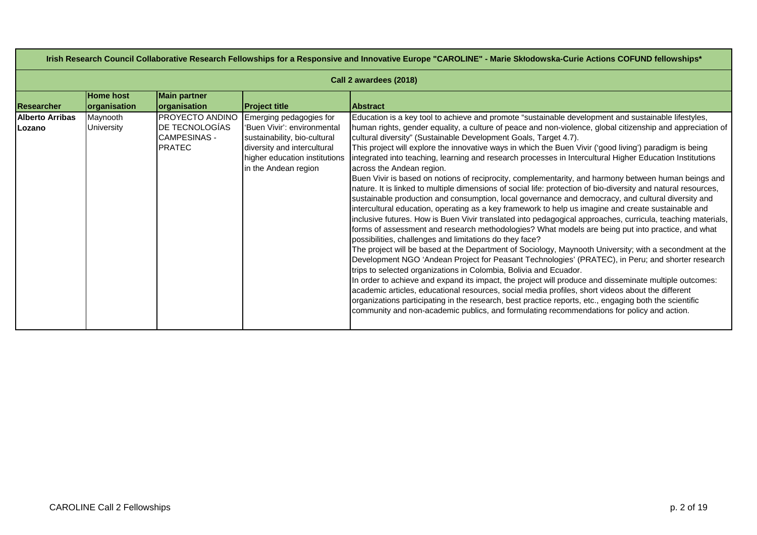|                                   | Irish Research Council Collaborative Research Fellowships for a Responsive and Innovative Europe "CAROLINE" - Marie Skłodowska-Curie Actions COFUND fellowships* |                                                                           |                                                                                                                                                                                |                                                                                                                                                                                                                                                                                                                                                                                                                                                                                                                                                                                                                                                                                                                                                                                                                                                                                                                                                                                                                                                                                                                                                                                                                                                                                                                                                                                                                                                                                                                                                                                                                                                                                                                                                                                                                                                                                                                                                                             |  |  |
|-----------------------------------|------------------------------------------------------------------------------------------------------------------------------------------------------------------|---------------------------------------------------------------------------|--------------------------------------------------------------------------------------------------------------------------------------------------------------------------------|-----------------------------------------------------------------------------------------------------------------------------------------------------------------------------------------------------------------------------------------------------------------------------------------------------------------------------------------------------------------------------------------------------------------------------------------------------------------------------------------------------------------------------------------------------------------------------------------------------------------------------------------------------------------------------------------------------------------------------------------------------------------------------------------------------------------------------------------------------------------------------------------------------------------------------------------------------------------------------------------------------------------------------------------------------------------------------------------------------------------------------------------------------------------------------------------------------------------------------------------------------------------------------------------------------------------------------------------------------------------------------------------------------------------------------------------------------------------------------------------------------------------------------------------------------------------------------------------------------------------------------------------------------------------------------------------------------------------------------------------------------------------------------------------------------------------------------------------------------------------------------------------------------------------------------------------------------------------------------|--|--|
|                                   | Call 2 awardees (2018)                                                                                                                                           |                                                                           |                                                                                                                                                                                |                                                                                                                                                                                                                                                                                                                                                                                                                                                                                                                                                                                                                                                                                                                                                                                                                                                                                                                                                                                                                                                                                                                                                                                                                                                                                                                                                                                                                                                                                                                                                                                                                                                                                                                                                                                                                                                                                                                                                                             |  |  |
| Researcher                        | <b>Home host</b><br>organisation                                                                                                                                 | <b>Main partner</b><br><b>organisation</b>                                | <b>Project title</b>                                                                                                                                                           | <b>Abstract</b>                                                                                                                                                                                                                                                                                                                                                                                                                                                                                                                                                                                                                                                                                                                                                                                                                                                                                                                                                                                                                                                                                                                                                                                                                                                                                                                                                                                                                                                                                                                                                                                                                                                                                                                                                                                                                                                                                                                                                             |  |  |
| <b>Alberto Arribas</b><br>ILozano | Maynooth<br><b>University</b>                                                                                                                                    | PROYECTO ANDINO<br>DE TECNOLOGÍAS<br><b>CAMPESINAS -</b><br><b>PRATEC</b> | Emerging pedagogies for<br>'Buen Vivir': environmental<br>sustainability, bio-cultural<br>diversity and intercultural<br>higher education institutions<br>in the Andean region | Education is a key tool to achieve and promote "sustainable development and sustainable lifestyles,<br>human rights, gender equality, a culture of peace and non-violence, global citizenship and appreciation of<br>cultural diversity" (Sustainable Development Goals, Target 4.7).<br>This project will explore the innovative ways in which the Buen Vivir ('good living') paradigm is being<br>integrated into teaching, learning and research processes in Intercultural Higher Education Institutions<br>across the Andean region.<br>Buen Vivir is based on notions of reciprocity, complementarity, and harmony between human beings and<br>nature. It is linked to multiple dimensions of social life: protection of bio-diversity and natural resources,<br>sustainable production and consumption, local governance and democracy, and cultural diversity and<br>intercultural education, operating as a key framework to help us imagine and create sustainable and<br>inclusive futures. How is Buen Vivir translated into pedagogical approaches, curricula, teaching materials,<br>forms of assessment and research methodologies? What models are being put into practice, and what<br>possibilities, challenges and limitations do they face?<br>The project will be based at the Department of Sociology, Maynooth University; with a secondment at the<br>Development NGO 'Andean Project for Peasant Technologies' (PRATEC), in Peru; and shorter research<br>trips to selected organizations in Colombia, Bolivia and Ecuador.<br>In order to achieve and expand its impact, the project will produce and disseminate multiple outcomes:<br>academic articles, educational resources, social media profiles, short videos about the different<br>organizations participating in the research, best practice reports, etc., engaging both the scientific<br>community and non-academic publics, and formulating recommendations for policy and action. |  |  |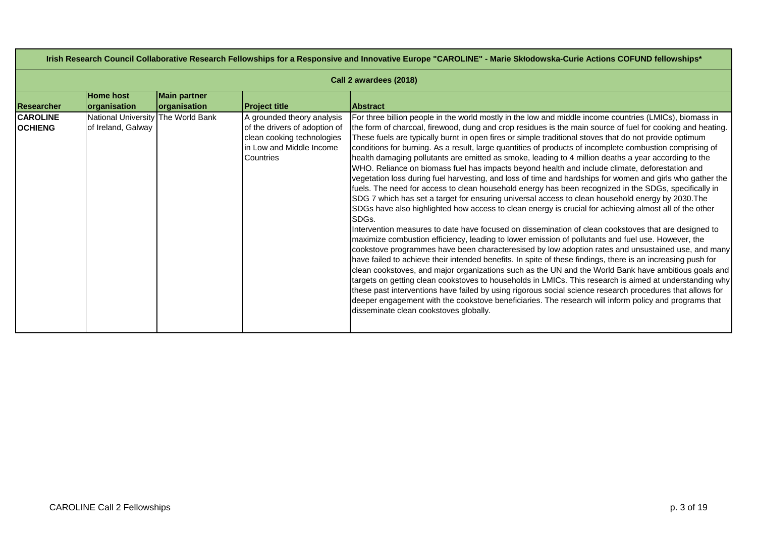| Irish Research Council Collaborative Research Fellowships for a Responsive and Innovative Europe "CAROLINE" - Marie Skłodowska-Curie Actions COFUND fellowships* |                                                          |                                     |                                                                                                                                    |                                                                                                                                                                                                                                                                                                                                                                                                                                                                                                                                                                                                                                                                                                                                                                                                                                                                                                                                                                                                                                                                                                                                                                                                                                                                                                                                                                                                                                                                                                                                                                                                                                                                                                                                                                                                                                                                                                                                                                                                                                        |  |  |
|------------------------------------------------------------------------------------------------------------------------------------------------------------------|----------------------------------------------------------|-------------------------------------|------------------------------------------------------------------------------------------------------------------------------------|----------------------------------------------------------------------------------------------------------------------------------------------------------------------------------------------------------------------------------------------------------------------------------------------------------------------------------------------------------------------------------------------------------------------------------------------------------------------------------------------------------------------------------------------------------------------------------------------------------------------------------------------------------------------------------------------------------------------------------------------------------------------------------------------------------------------------------------------------------------------------------------------------------------------------------------------------------------------------------------------------------------------------------------------------------------------------------------------------------------------------------------------------------------------------------------------------------------------------------------------------------------------------------------------------------------------------------------------------------------------------------------------------------------------------------------------------------------------------------------------------------------------------------------------------------------------------------------------------------------------------------------------------------------------------------------------------------------------------------------------------------------------------------------------------------------------------------------------------------------------------------------------------------------------------------------------------------------------------------------------------------------------------------------|--|--|
|                                                                                                                                                                  | Call 2 awardees (2018)                                   |                                     |                                                                                                                                    |                                                                                                                                                                                                                                                                                                                                                                                                                                                                                                                                                                                                                                                                                                                                                                                                                                                                                                                                                                                                                                                                                                                                                                                                                                                                                                                                                                                                                                                                                                                                                                                                                                                                                                                                                                                                                                                                                                                                                                                                                                        |  |  |
| Researcher                                                                                                                                                       | <b>Home host</b><br><b>organisation</b>                  | <b>Main partner</b><br>organisation | <b>Project title</b>                                                                                                               | <b>Abstract</b>                                                                                                                                                                                                                                                                                                                                                                                                                                                                                                                                                                                                                                                                                                                                                                                                                                                                                                                                                                                                                                                                                                                                                                                                                                                                                                                                                                                                                                                                                                                                                                                                                                                                                                                                                                                                                                                                                                                                                                                                                        |  |  |
| <b>CAROLINE</b><br><b>OCHIENG</b>                                                                                                                                | National University The World Bank<br>of Ireland, Galway |                                     | A grounded theory analysis<br>of the drivers of adoption of<br>clean cooking technologies<br>In Low and Middle Income<br>Countries | For three billion people in the world mostly in the low and middle income countries (LMICs), biomass in<br>the form of charcoal, firewood, dung and crop residues is the main source of fuel for cooking and heating.<br>These fuels are typically burnt in open fires or simple traditional stoves that do not provide optimum<br>conditions for burning. As a result, large quantities of products of incomplete combustion comprising of<br>health damaging pollutants are emitted as smoke, leading to 4 million deaths a year according to the<br>WHO. Reliance on biomass fuel has impacts beyond health and include climate, deforestation and<br>vegetation loss during fuel harvesting, and loss of time and hardships for women and girls who gather the<br>fuels. The need for access to clean household energy has been recognized in the SDGs, specifically in<br>SDG 7 which has set a target for ensuring universal access to clean household energy by 2030. The<br>SDGs have also highlighted how access to clean energy is crucial for achieving almost all of the other<br>SDG <sub>s</sub> .<br>Intervention measures to date have focused on dissemination of clean cookstoves that are designed to<br>maximize combustion efficiency, leading to lower emission of pollutants and fuel use. However, the<br>cookstove programmes have been characteresised by low adoption rates and unsustained use, and many<br>have failed to achieve their intended benefits. In spite of these findings, there is an increasing push for<br>clean cookstoves, and major organizations such as the UN and the World Bank have ambitious goals and<br>targets on getting clean cookstoves to households in LMICs. This research is aimed at understanding why<br>these past interventions have failed by using rigorous social science research procedures that allows for<br>deeper engagement with the cookstove beneficiaries. The research will inform policy and programs that<br>disseminate clean cookstoves globally. |  |  |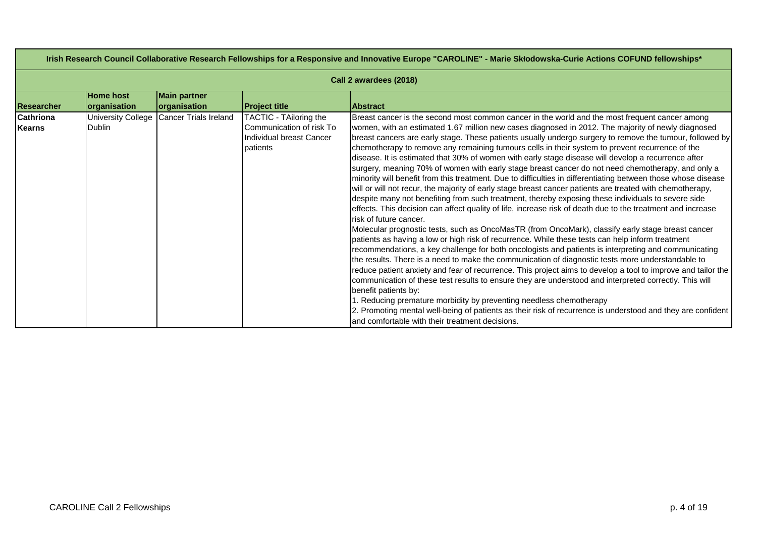| Irish Research Council Collaborative Research Fellowships for a Responsive and Innovative Europe "CAROLINE" - Marie Skłodowska-Curie Actions COFUND fellowships* |                                            |                                     |                                                                                            |                                                                                                                                                                                                                                                                                                                                                                                                                                                                                                                                                                                                                                                                                                                                                                                                                                                                                                                                                                                                                                                                                                                                                                                                                                                                                                                                                                                                                                                                                                                                                                                                                                                                                                                                                                                                                                                                                                                                                                                                                               |  |  |  |
|------------------------------------------------------------------------------------------------------------------------------------------------------------------|--------------------------------------------|-------------------------------------|--------------------------------------------------------------------------------------------|-------------------------------------------------------------------------------------------------------------------------------------------------------------------------------------------------------------------------------------------------------------------------------------------------------------------------------------------------------------------------------------------------------------------------------------------------------------------------------------------------------------------------------------------------------------------------------------------------------------------------------------------------------------------------------------------------------------------------------------------------------------------------------------------------------------------------------------------------------------------------------------------------------------------------------------------------------------------------------------------------------------------------------------------------------------------------------------------------------------------------------------------------------------------------------------------------------------------------------------------------------------------------------------------------------------------------------------------------------------------------------------------------------------------------------------------------------------------------------------------------------------------------------------------------------------------------------------------------------------------------------------------------------------------------------------------------------------------------------------------------------------------------------------------------------------------------------------------------------------------------------------------------------------------------------------------------------------------------------------------------------------------------------|--|--|--|
|                                                                                                                                                                  | Call 2 awardees (2018)                     |                                     |                                                                                            |                                                                                                                                                                                                                                                                                                                                                                                                                                                                                                                                                                                                                                                                                                                                                                                                                                                                                                                                                                                                                                                                                                                                                                                                                                                                                                                                                                                                                                                                                                                                                                                                                                                                                                                                                                                                                                                                                                                                                                                                                               |  |  |  |
| <b>Researcher</b>                                                                                                                                                | <b>Home host</b><br>organisation           | <b>Main partner</b><br>organisation | <b>Project title</b>                                                                       | <b>Abstract</b>                                                                                                                                                                                                                                                                                                                                                                                                                                                                                                                                                                                                                                                                                                                                                                                                                                                                                                                                                                                                                                                                                                                                                                                                                                                                                                                                                                                                                                                                                                                                                                                                                                                                                                                                                                                                                                                                                                                                                                                                               |  |  |  |
| <b>Cathriona</b><br><b>Kearns</b>                                                                                                                                | <b>University College</b><br><b>Dublin</b> | <b>Cancer Trials Ireland</b>        | TACTIC - TAiloring the<br>Communication of risk To<br>Individual breast Cancer<br>patients | Breast cancer is the second most common cancer in the world and the most frequent cancer among<br>women, with an estimated 1.67 million new cases diagnosed in 2012. The majority of newly diagnosed<br>breast cancers are early stage. These patients usually undergo surgery to remove the tumour, followed by<br>chemotherapy to remove any remaining tumours cells in their system to prevent recurrence of the<br>disease. It is estimated that 30% of women with early stage disease will develop a recurrence after<br>surgery, meaning 70% of women with early stage breast cancer do not need chemotherapy, and only a<br>minority will benefit from this treatment. Due to difficulties in differentiating between those whose disease<br>will or will not recur, the majority of early stage breast cancer patients are treated with chemotherapy,<br>despite many not benefiting from such treatment, thereby exposing these individuals to severe side<br>effects. This decision can affect quality of life, increase risk of death due to the treatment and increase<br>risk of future cancer.<br>Molecular prognostic tests, such as OncoMasTR (from OncoMark), classify early stage breast cancer<br>patients as having a low or high risk of recurrence. While these tests can help inform treatment<br>recommendations, a key challenge for both oncologists and patients is interpreting and communicating<br>the results. There is a need to make the communication of diagnostic tests more understandable to<br>reduce patient anxiety and fear of recurrence. This project aims to develop a tool to improve and tailor the<br>communication of these test results to ensure they are understood and interpreted correctly. This will<br>benefit patients by:<br>1. Reducing premature morbidity by preventing needless chemotherapy<br>2. Promoting mental well-being of patients as their risk of recurrence is understood and they are confident<br>and comfortable with their treatment decisions. |  |  |  |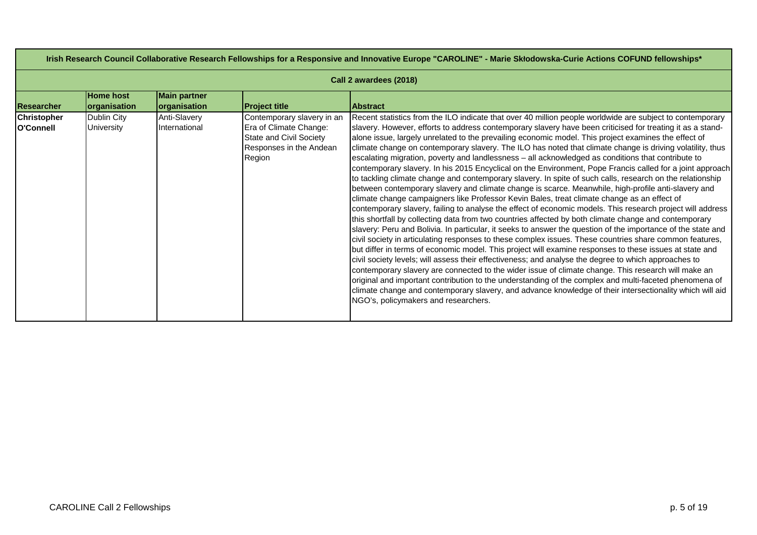| Irish Research Council Collaborative Research Fellowships for a Responsive and Innovative Europe "CAROLINE" - Marie Skłodowska-Curie Actions COFUND fellowships* |                                  |                                            |                                                                                                                      |                                                                                                                                                                                                                                                                                                                                                                                                                                                                                                                                                                                                                                                                                                                                                                                                                                                                                                                                                                                                                                                                                                                                                                                                                                                                                                                                                                                                                                                                                                                                                                                                                                                                                                                                                                                                                                                                                                                                                                                                                              |
|------------------------------------------------------------------------------------------------------------------------------------------------------------------|----------------------------------|--------------------------------------------|----------------------------------------------------------------------------------------------------------------------|------------------------------------------------------------------------------------------------------------------------------------------------------------------------------------------------------------------------------------------------------------------------------------------------------------------------------------------------------------------------------------------------------------------------------------------------------------------------------------------------------------------------------------------------------------------------------------------------------------------------------------------------------------------------------------------------------------------------------------------------------------------------------------------------------------------------------------------------------------------------------------------------------------------------------------------------------------------------------------------------------------------------------------------------------------------------------------------------------------------------------------------------------------------------------------------------------------------------------------------------------------------------------------------------------------------------------------------------------------------------------------------------------------------------------------------------------------------------------------------------------------------------------------------------------------------------------------------------------------------------------------------------------------------------------------------------------------------------------------------------------------------------------------------------------------------------------------------------------------------------------------------------------------------------------------------------------------------------------------------------------------------------------|
|                                                                                                                                                                  |                                  |                                            |                                                                                                                      | Call 2 awardees (2018)                                                                                                                                                                                                                                                                                                                                                                                                                                                                                                                                                                                                                                                                                                                                                                                                                                                                                                                                                                                                                                                                                                                                                                                                                                                                                                                                                                                                                                                                                                                                                                                                                                                                                                                                                                                                                                                                                                                                                                                                       |
| <b>Researcher</b>                                                                                                                                                | <b>Home host</b><br>organisation | <b>Main partner</b><br><b>organisation</b> | <b>Project title</b>                                                                                                 | <b>Abstract</b>                                                                                                                                                                                                                                                                                                                                                                                                                                                                                                                                                                                                                                                                                                                                                                                                                                                                                                                                                                                                                                                                                                                                                                                                                                                                                                                                                                                                                                                                                                                                                                                                                                                                                                                                                                                                                                                                                                                                                                                                              |
| <b>Christopher</b><br>O'Connell                                                                                                                                  | Dublin City<br>University        | Anti-Slavery<br>International              | Contemporary slavery in an<br>Era of Climate Change:<br>State and Civil Society<br>Responses in the Andean<br>Region | Recent statistics from the ILO indicate that over 40 million people worldwide are subject to contemporary<br>slavery. However, efforts to address contemporary slavery have been criticised for treating it as a stand-<br>alone issue, largely unrelated to the prevailing economic model. This project examines the effect of<br>climate change on contemporary slavery. The ILO has noted that climate change is driving volatility, thus<br>escalating migration, poverty and landlessness - all acknowledged as conditions that contribute to<br>contemporary slavery. In his 2015 Encyclical on the Environment, Pope Francis called for a joint approach<br>to tackling climate change and contemporary slavery. In spite of such calls, research on the relationship<br>between contemporary slavery and climate change is scarce. Meanwhile, high-profile anti-slavery and<br>climate change campaigners like Professor Kevin Bales, treat climate change as an effect of<br>contemporary slavery, failing to analyse the effect of economic models. This research project will address<br>this shortfall by collecting data from two countries affected by both climate change and contemporary<br>slavery: Peru and Bolivia. In particular, it seeks to answer the question of the importance of the state and<br>civil society in articulating responses to these complex issues. These countries share common features,<br>but differ in terms of economic model. This project will examine responses to these issues at state and<br>civil society levels; will assess their effectiveness; and analyse the degree to which approaches to<br>contemporary slavery are connected to the wider issue of climate change. This research will make an<br>original and important contribution to the understanding of the complex and multi-faceted phenomena of<br>climate change and contemporary slavery, and advance knowledge of their intersectionality which will aid<br>NGO's, policymakers and researchers. |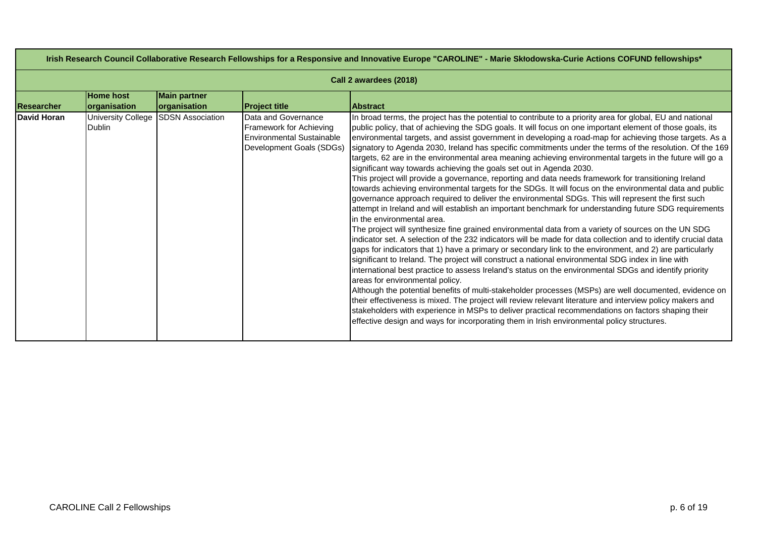| Irish Research Council Collaborative Research Fellowships for a Responsive and Innovative Europe "CAROLINE" - Marie Skłodowska-Curie Actions COFUND fellowships* |                                            |                                     |                                                                                                                |                                                                                                                                                                                                                                                                                                                                                                                                                                                                                                                                                                                                                                                                                                                                                                                                                                                                                                                                                                                                                                                                                                                                                                                                                                                                                                                                                                                                                                                                                                                                                                                                                                                                                                                                                                                                                                                                                                                                                                                                                                                                                                                          |  |  |  |
|------------------------------------------------------------------------------------------------------------------------------------------------------------------|--------------------------------------------|-------------------------------------|----------------------------------------------------------------------------------------------------------------|--------------------------------------------------------------------------------------------------------------------------------------------------------------------------------------------------------------------------------------------------------------------------------------------------------------------------------------------------------------------------------------------------------------------------------------------------------------------------------------------------------------------------------------------------------------------------------------------------------------------------------------------------------------------------------------------------------------------------------------------------------------------------------------------------------------------------------------------------------------------------------------------------------------------------------------------------------------------------------------------------------------------------------------------------------------------------------------------------------------------------------------------------------------------------------------------------------------------------------------------------------------------------------------------------------------------------------------------------------------------------------------------------------------------------------------------------------------------------------------------------------------------------------------------------------------------------------------------------------------------------------------------------------------------------------------------------------------------------------------------------------------------------------------------------------------------------------------------------------------------------------------------------------------------------------------------------------------------------------------------------------------------------------------------------------------------------------------------------------------------------|--|--|--|
|                                                                                                                                                                  | Call 2 awardees (2018)                     |                                     |                                                                                                                |                                                                                                                                                                                                                                                                                                                                                                                                                                                                                                                                                                                                                                                                                                                                                                                                                                                                                                                                                                                                                                                                                                                                                                                                                                                                                                                                                                                                                                                                                                                                                                                                                                                                                                                                                                                                                                                                                                                                                                                                                                                                                                                          |  |  |  |
| <b>Researcher</b>                                                                                                                                                | <b>Home host</b><br>organisation           | <b>Main partner</b><br>organisation | <b>Project title</b>                                                                                           | <b>Abstract</b>                                                                                                                                                                                                                                                                                                                                                                                                                                                                                                                                                                                                                                                                                                                                                                                                                                                                                                                                                                                                                                                                                                                                                                                                                                                                                                                                                                                                                                                                                                                                                                                                                                                                                                                                                                                                                                                                                                                                                                                                                                                                                                          |  |  |  |
| David Horan                                                                                                                                                      | <b>University College</b><br><b>Dublin</b> | <b>SDSN Association</b>             | Data and Governance<br>Framework for Achieving<br><b>Environmental Sustainable</b><br>Development Goals (SDGs) | In broad terms, the project has the potential to contribute to a priority area for global, EU and national<br>public policy, that of achieving the SDG goals. It will focus on one important element of those goals, its<br>environmental targets, and assist government in developing a road-map for achieving those targets. As a<br>signatory to Agenda 2030, Ireland has specific commitments under the terms of the resolution. Of the 169<br>targets, 62 are in the environmental area meaning achieving environmental targets in the future will go a<br>significant way towards achieving the goals set out in Agenda 2030.<br>This project will provide a governance, reporting and data needs framework for transitioning Ireland<br>towards achieving environmental targets for the SDGs. It will focus on the environmental data and public<br>governance approach required to deliver the environmental SDGs. This will represent the first such<br>attempt in Ireland and will establish an important benchmark for understanding future SDG requirements<br>in the environmental area.<br>The project will synthesize fine grained environmental data from a variety of sources on the UN SDG<br>indicator set. A selection of the 232 indicators will be made for data collection and to identify crucial data<br>gaps for indicators that 1) have a primary or secondary link to the environment, and 2) are particularly<br>significant to Ireland. The project will construct a national environmental SDG index in line with<br>international best practice to assess Ireland's status on the environmental SDGs and identify priority<br>areas for environmental policy.<br>Although the potential benefits of multi-stakeholder processes (MSPs) are well documented, evidence on<br>their effectiveness is mixed. The project will review relevant literature and interview policy makers and<br>stakeholders with experience in MSPs to deliver practical recommendations on factors shaping their<br>effective design and ways for incorporating them in Irish environmental policy structures. |  |  |  |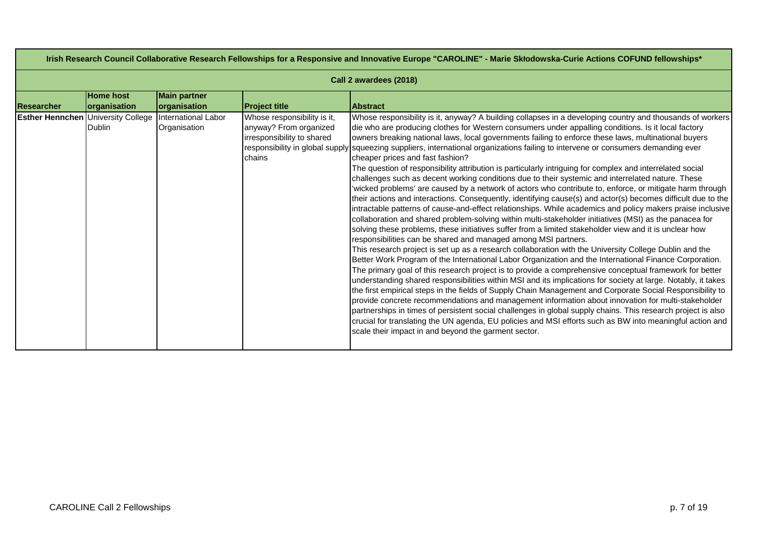| Irish Research Council Collaborative Research Fellowships for a Responsive and Innovative Europe "CAROLINE" - Marie Skłodowska-Curie Actions COFUND fellowships* |                                         |                                     |                                                                                               |                                                                                                                                                                                                                                                                                                                                                                                                                                                                                                                                                                                                                                                                                                                                                                                                                                                                                                                                                                                                                                                                                                                                                                                                                                                                                                                                                                                                                                                                                                                                                                                                                                                                                                                                                                                                                                                                                                                                                                                                                                                                                                                                                                                                                                                                                                            |  |  |
|------------------------------------------------------------------------------------------------------------------------------------------------------------------|-----------------------------------------|-------------------------------------|-----------------------------------------------------------------------------------------------|------------------------------------------------------------------------------------------------------------------------------------------------------------------------------------------------------------------------------------------------------------------------------------------------------------------------------------------------------------------------------------------------------------------------------------------------------------------------------------------------------------------------------------------------------------------------------------------------------------------------------------------------------------------------------------------------------------------------------------------------------------------------------------------------------------------------------------------------------------------------------------------------------------------------------------------------------------------------------------------------------------------------------------------------------------------------------------------------------------------------------------------------------------------------------------------------------------------------------------------------------------------------------------------------------------------------------------------------------------------------------------------------------------------------------------------------------------------------------------------------------------------------------------------------------------------------------------------------------------------------------------------------------------------------------------------------------------------------------------------------------------------------------------------------------------------------------------------------------------------------------------------------------------------------------------------------------------------------------------------------------------------------------------------------------------------------------------------------------------------------------------------------------------------------------------------------------------------------------------------------------------------------------------------------------------|--|--|
|                                                                                                                                                                  | Call 2 awardees (2018)                  |                                     |                                                                                               |                                                                                                                                                                                                                                                                                                                                                                                                                                                                                                                                                                                                                                                                                                                                                                                                                                                                                                                                                                                                                                                                                                                                                                                                                                                                                                                                                                                                                                                                                                                                                                                                                                                                                                                                                                                                                                                                                                                                                                                                                                                                                                                                                                                                                                                                                                            |  |  |
| Researcher                                                                                                                                                       | <b>Home host</b><br><b>organisation</b> | <b>Main partner</b><br>organisation | <b>Project title</b>                                                                          | <b>Abstract</b>                                                                                                                                                                                                                                                                                                                                                                                                                                                                                                                                                                                                                                                                                                                                                                                                                                                                                                                                                                                                                                                                                                                                                                                                                                                                                                                                                                                                                                                                                                                                                                                                                                                                                                                                                                                                                                                                                                                                                                                                                                                                                                                                                                                                                                                                                            |  |  |
| <b>Esther Hennchen University College</b>                                                                                                                        | <b>Dublin</b>                           | International Labor<br>Organisation | Whose responsibility is it,<br>anyway? From organized<br>irresponsibility to shared<br>chains | Whose responsibility is it, anyway? A building collapses in a developing country and thousands of workers<br>die who are producing clothes for Western consumers under appalling conditions. Is it local factory<br>owners breaking national laws, local governments failing to enforce these laws, multinational buyers<br>responsibility in global supply squeezing suppliers, international organizations failing to intervene or consumers demanding ever<br>cheaper prices and fast fashion?<br>The question of responsibility attribution is particularly intriguing for complex and interrelated social<br>challenges such as decent working conditions due to their systemic and interrelated nature. These<br>'wicked problems' are caused by a network of actors who contribute to, enforce, or mitigate harm through<br>their actions and interactions. Consequently, identifying cause(s) and actor(s) becomes difficult due to the<br>intractable patterns of cause-and-effect relationships. While academics and policy makers praise inclusive<br>collaboration and shared problem-solving within multi-stakeholder initiatives (MSI) as the panacea for<br>solving these problems, these initiatives suffer from a limited stakeholder view and it is unclear how<br>responsibilities can be shared and managed among MSI partners.<br>This research project is set up as a research collaboration with the University College Dublin and the<br>Better Work Program of the International Labor Organization and the International Finance Corporation.<br>The primary goal of this research project is to provide a comprehensive conceptual framework for better<br>understanding shared responsibilities within MSI and its implications for society at large. Notably, it takes<br>the first empirical steps in the fields of Supply Chain Management and Corporate Social Responsibility to<br>provide concrete recommendations and management information about innovation for multi-stakeholder<br>partnerships in times of persistent social challenges in global supply chains. This research project is also<br>crucial for translating the UN agenda, EU policies and MSI efforts such as BW into meaningful action and<br>scale their impact in and beyond the garment sector. |  |  |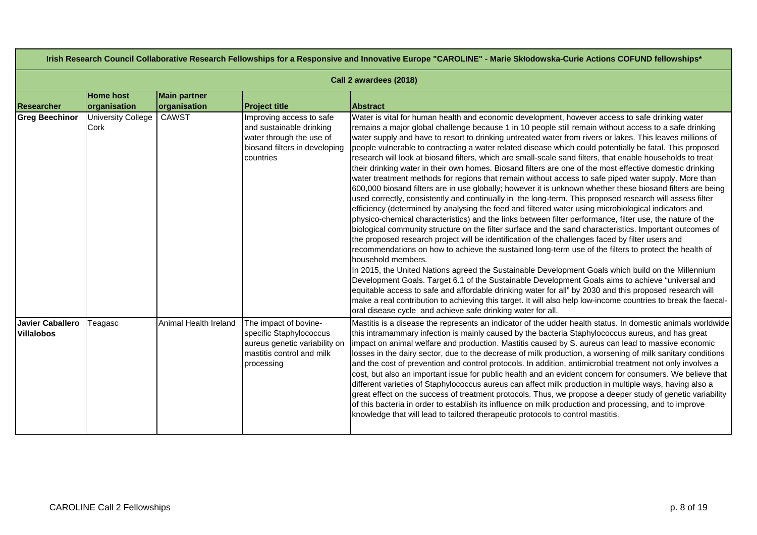| Irish Research Council Collaborative Research Fellowships for a Responsive and Innovative Europe "CAROLINE" - Marie Skłodowska-Curie Actions COFUND fellowships* |                                   |                                     |                                                                                                                                |                                                                                                                                                                                                                                                                                                                                                                                                                                                                                                                                                                                                                                                                                                                                                                                                                                                                                                                                                                                                                                                                                                                                                                                                                                                                                                                                                                                                                                                                                                                                                                                                                                                                                                                                                                                                                                                                                                                                                                                                                                                                           |  |  |
|------------------------------------------------------------------------------------------------------------------------------------------------------------------|-----------------------------------|-------------------------------------|--------------------------------------------------------------------------------------------------------------------------------|---------------------------------------------------------------------------------------------------------------------------------------------------------------------------------------------------------------------------------------------------------------------------------------------------------------------------------------------------------------------------------------------------------------------------------------------------------------------------------------------------------------------------------------------------------------------------------------------------------------------------------------------------------------------------------------------------------------------------------------------------------------------------------------------------------------------------------------------------------------------------------------------------------------------------------------------------------------------------------------------------------------------------------------------------------------------------------------------------------------------------------------------------------------------------------------------------------------------------------------------------------------------------------------------------------------------------------------------------------------------------------------------------------------------------------------------------------------------------------------------------------------------------------------------------------------------------------------------------------------------------------------------------------------------------------------------------------------------------------------------------------------------------------------------------------------------------------------------------------------------------------------------------------------------------------------------------------------------------------------------------------------------------------------------------------------------------|--|--|
|                                                                                                                                                                  | Call 2 awardees (2018)            |                                     |                                                                                                                                |                                                                                                                                                                                                                                                                                                                                                                                                                                                                                                                                                                                                                                                                                                                                                                                                                                                                                                                                                                                                                                                                                                                                                                                                                                                                                                                                                                                                                                                                                                                                                                                                                                                                                                                                                                                                                                                                                                                                                                                                                                                                           |  |  |
| <b>Researcher</b>                                                                                                                                                | <b>Home host</b><br>organisation  | <b>Main partner</b><br>organisation | <b>Project title</b>                                                                                                           | <b>Abstract</b>                                                                                                                                                                                                                                                                                                                                                                                                                                                                                                                                                                                                                                                                                                                                                                                                                                                                                                                                                                                                                                                                                                                                                                                                                                                                                                                                                                                                                                                                                                                                                                                                                                                                                                                                                                                                                                                                                                                                                                                                                                                           |  |  |
| <b>Greg Beechinor</b>                                                                                                                                            | <b>University College</b><br>Cork | <b>CAWST</b>                        | Improving access to safe<br>and sustainable drinking<br>water through the use of<br>biosand filters in developing<br>countries | Water is vital for human health and economic development, however access to safe drinking water<br>remains a major global challenge because 1 in 10 people still remain without access to a safe drinking<br>water supply and have to resort to drinking untreated water from rivers or lakes. This leaves millions of<br>people vulnerable to contracting a water related disease which could potentially be fatal. This proposed<br>research will look at biosand filters, which are small-scale sand filters, that enable households to treat<br>their drinking water in their own homes. Biosand filters are one of the most effective domestic drinking<br>water treatment methods for regions that remain without access to safe piped water supply. More than<br>600,000 biosand filters are in use globally; however it is unknown whether these biosand filters are being<br>used correctly, consistently and continually in the long-term. This proposed research will assess filter<br>efficiency (determined by analysing the feed and filtered water using microbiological indicators and<br>physico-chemical characteristics) and the links between filter performance, filter use, the nature of the<br>biological community structure on the filter surface and the sand characteristics. Important outcomes of<br>the proposed research project will be identification of the challenges faced by filter users and<br>recommendations on how to achieve the sustained long-term use of the filters to protect the health of<br>household members.<br>In 2015, the United Nations agreed the Sustainable Development Goals which build on the Millennium<br>Development Goals. Target 6.1 of the Sustainable Development Goals aims to achieve "universal and<br>equitable access to safe and affordable drinking water for all" by 2030 and this proposed research will<br>make a real contribution to achieving this target. It will also help low-income countries to break the faecal-<br>oral disease cycle and achieve safe drinking water for all. |  |  |
| <b>Javier Caballero</b><br><b>Villalobos</b>                                                                                                                     | Teagasc                           | Animal Health Ireland               | The impact of bovine-<br>specific Staphylococcus<br>aureus genetic variability on<br>mastitis control and milk<br>processing   | Mastitis is a disease the represents an indicator of the udder health status. In domestic animals worldwide<br>this intramammary infection is mainly caused by the bacteria Staphylococcus aureus, and has great<br>impact on animal welfare and production. Mastitis caused by S. aureus can lead to massive economic<br>losses in the dairy sector, due to the decrease of milk production, a worsening of milk sanitary conditions<br>and the cost of prevention and control protocols. In addition, antimicrobial treatment not only involves a<br>cost, but also an important issue for public health and an evident concern for consumers. We believe that<br>different varieties of Staphylococcus aureus can affect milk production in multiple ways, having also a<br>great effect on the success of treatment protocols. Thus, we propose a deeper study of genetic variability<br>of this bacteria in order to establish its influence on milk production and processing, and to improve<br>knowledge that will lead to tailored therapeutic protocols to control mastitis.                                                                                                                                                                                                                                                                                                                                                                                                                                                                                                                                                                                                                                                                                                                                                                                                                                                                                                                                                                                    |  |  |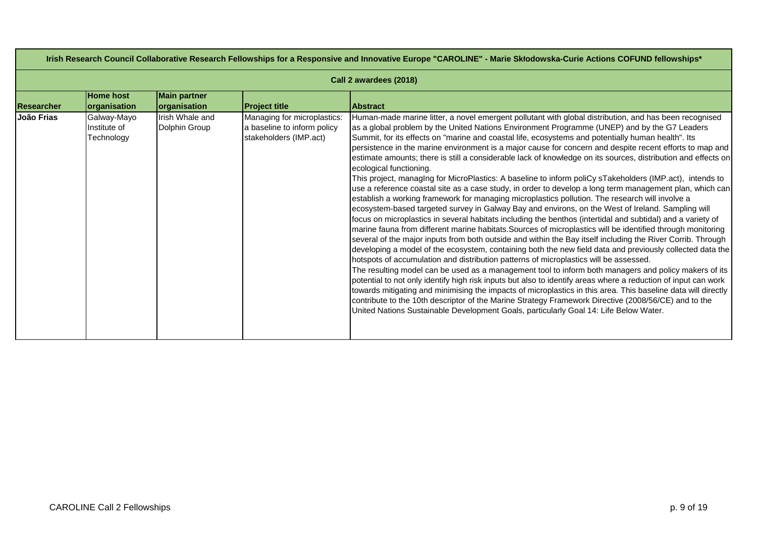| Irish Research Council Collaborative Research Fellowships for a Responsive and Innovative Europe "CAROLINE" - Marie Skłodowska-Curie Actions COFUND fellowships* |                                           |                                     |                                                                                      |                                                                                                                                                                                                                                                                                                                                                                                                                                                                                                                                                                                                                                                                                                                                                                                                                                                                                                                                                                                                                                                                                                                                                                                                                                                                                                                                                                                                                                                                                                                                                                                                                                                                                                                                                                                                                                                                                                                                                                                                                                                                                                      |  |  |  |
|------------------------------------------------------------------------------------------------------------------------------------------------------------------|-------------------------------------------|-------------------------------------|--------------------------------------------------------------------------------------|------------------------------------------------------------------------------------------------------------------------------------------------------------------------------------------------------------------------------------------------------------------------------------------------------------------------------------------------------------------------------------------------------------------------------------------------------------------------------------------------------------------------------------------------------------------------------------------------------------------------------------------------------------------------------------------------------------------------------------------------------------------------------------------------------------------------------------------------------------------------------------------------------------------------------------------------------------------------------------------------------------------------------------------------------------------------------------------------------------------------------------------------------------------------------------------------------------------------------------------------------------------------------------------------------------------------------------------------------------------------------------------------------------------------------------------------------------------------------------------------------------------------------------------------------------------------------------------------------------------------------------------------------------------------------------------------------------------------------------------------------------------------------------------------------------------------------------------------------------------------------------------------------------------------------------------------------------------------------------------------------------------------------------------------------------------------------------------------------|--|--|--|
|                                                                                                                                                                  | Call 2 awardees (2018)                    |                                     |                                                                                      |                                                                                                                                                                                                                                                                                                                                                                                                                                                                                                                                                                                                                                                                                                                                                                                                                                                                                                                                                                                                                                                                                                                                                                                                                                                                                                                                                                                                                                                                                                                                                                                                                                                                                                                                                                                                                                                                                                                                                                                                                                                                                                      |  |  |  |
| <b>Researcher</b>                                                                                                                                                | <b>Home host</b><br>organisation          | <b>Main partner</b><br>organisation | <b>Project title</b>                                                                 | <b>Abstract</b>                                                                                                                                                                                                                                                                                                                                                                                                                                                                                                                                                                                                                                                                                                                                                                                                                                                                                                                                                                                                                                                                                                                                                                                                                                                                                                                                                                                                                                                                                                                                                                                                                                                                                                                                                                                                                                                                                                                                                                                                                                                                                      |  |  |  |
| João Frias                                                                                                                                                       | Galway-Mayo<br>Institute of<br>Technology | Irish Whale and<br>Dolphin Group    | Managing for microplastics:<br>a baseline to inform policy<br>stakeholders (IMP.act) | Human-made marine litter, a novel emergent pollutant with global distribution, and has been recognised<br>as a global problem by the United Nations Environment Programme (UNEP) and by the G7 Leaders<br>Summit, for its effects on "marine and coastal life, ecosystems and potentially human health". Its<br>persistence in the marine environment is a major cause for concern and despite recent efforts to map and<br>estimate amounts; there is still a considerable lack of knowledge on its sources, distribution and effects on<br>ecological functioning.<br>This project, managing for MicroPlastics: A baseline to inform poliCy sTakeholders (IMP.act), intends to<br>use a reference coastal site as a case study, in order to develop a long term management plan, which can<br>establish a working framework for managing microplastics pollution. The research will involve a<br>ecosystem-based targeted survey in Galway Bay and environs, on the West of Ireland. Sampling will<br>focus on microplastics in several habitats including the benthos (intertidal and subtidal) and a variety of<br>marine fauna from different marine habitats. Sources of microplastics will be identified through monitoring<br>several of the major inputs from both outside and within the Bay itself including the River Corrib. Through<br>developing a model of the ecosystem, containing both the new field data and previously collected data the<br>hotspots of accumulation and distribution patterns of microplastics will be assessed.<br>The resulting model can be used as a management tool to inform both managers and policy makers of its<br>potential to not only identify high risk inputs but also to identify areas where a reduction of input can work<br>towards mitigating and minimising the impacts of microplastics in this area. This baseline data will directly<br>contribute to the 10th descriptor of the Marine Strategy Framework Directive (2008/56/CE) and to the<br>United Nations Sustainable Development Goals, particularly Goal 14: Life Below Water. |  |  |  |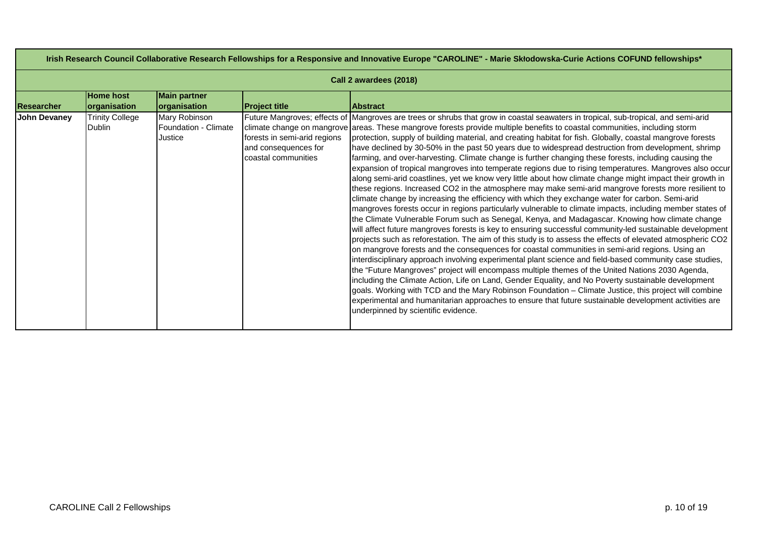| Irish Research Council Collaborative Research Fellowships for a Responsive and Innovative Europe "CAROLINE" - Marie Skłodowska-Curie Actions COFUND fellowships* |                                  |                                                  |                                                                             |                                                                                                                                                                                                                                                                                                                                                                                                                                                                                                                                                                                                                                                                                                                                                                                                                                                                                                                                                                                                                                                                                                                                                                                                                                                                                                                                                                                                                                                                                                                                                                                                                                                                                                                                                                                                                                                                                                                                                                                                                                                                                                                                                                |  |  |
|------------------------------------------------------------------------------------------------------------------------------------------------------------------|----------------------------------|--------------------------------------------------|-----------------------------------------------------------------------------|----------------------------------------------------------------------------------------------------------------------------------------------------------------------------------------------------------------------------------------------------------------------------------------------------------------------------------------------------------------------------------------------------------------------------------------------------------------------------------------------------------------------------------------------------------------------------------------------------------------------------------------------------------------------------------------------------------------------------------------------------------------------------------------------------------------------------------------------------------------------------------------------------------------------------------------------------------------------------------------------------------------------------------------------------------------------------------------------------------------------------------------------------------------------------------------------------------------------------------------------------------------------------------------------------------------------------------------------------------------------------------------------------------------------------------------------------------------------------------------------------------------------------------------------------------------------------------------------------------------------------------------------------------------------------------------------------------------------------------------------------------------------------------------------------------------------------------------------------------------------------------------------------------------------------------------------------------------------------------------------------------------------------------------------------------------------------------------------------------------------------------------------------------------|--|--|
|                                                                                                                                                                  | Call 2 awardees (2018)           |                                                  |                                                                             |                                                                                                                                                                                                                                                                                                                                                                                                                                                                                                                                                                                                                                                                                                                                                                                                                                                                                                                                                                                                                                                                                                                                                                                                                                                                                                                                                                                                                                                                                                                                                                                                                                                                                                                                                                                                                                                                                                                                                                                                                                                                                                                                                                |  |  |
| <b>Researcher</b>                                                                                                                                                | <b>Home host</b><br>organisation | <b>Main partner</b><br>organisation              | <b>Project title</b>                                                        | <b>Abstract</b>                                                                                                                                                                                                                                                                                                                                                                                                                                                                                                                                                                                                                                                                                                                                                                                                                                                                                                                                                                                                                                                                                                                                                                                                                                                                                                                                                                                                                                                                                                                                                                                                                                                                                                                                                                                                                                                                                                                                                                                                                                                                                                                                                |  |  |
| <b>John Devaney</b>                                                                                                                                              | <b>Trinity College</b><br>Dublin | Mary Robinson<br>Foundation - Climate<br>Justice | forests in semi-arid regions<br>and consequences for<br>coastal communities | Future Mangroves; effects of Mangroves are trees or shrubs that grow in coastal seawaters in tropical, sub-tropical, and semi-arid<br>climate change on mangrove areas. These mangrove forests provide multiple benefits to coastal communities, including storm<br>protection, supply of building material, and creating habitat for fish. Globally, coastal mangrove forests<br>have declined by 30-50% in the past 50 years due to widespread destruction from development, shrimp<br>farming, and over-harvesting. Climate change is further changing these forests, including causing the<br>expansion of tropical mangroves into temperate regions due to rising temperatures. Mangroves also occur<br>along semi-arid coastlines, yet we know very little about how climate change might impact their growth in<br>these regions. Increased CO2 in the atmosphere may make semi-arid mangrove forests more resilient to<br>climate change by increasing the efficiency with which they exchange water for carbon. Semi-arid<br>mangroves forests occur in regions particularly vulnerable to climate impacts, including member states of<br>the Climate Vulnerable Forum such as Senegal, Kenya, and Madagascar. Knowing how climate change<br>will affect future mangroves forests is key to ensuring successful community-led sustainable development<br>projects such as reforestation. The aim of this study is to assess the effects of elevated atmospheric CO2<br>on mangrove forests and the consequences for coastal communities in semi-arid regions. Using an<br>interdisciplinary approach involving experimental plant science and field-based community case studies,<br>the "Future Mangroves" project will encompass multiple themes of the United Nations 2030 Agenda,<br>including the Climate Action, Life on Land, Gender Equality, and No Poverty sustainable development<br>goals. Working with TCD and the Mary Robinson Foundation - Climate Justice, this project will combine<br>experimental and humanitarian approaches to ensure that future sustainable development activities are<br>underpinned by scientific evidence. |  |  |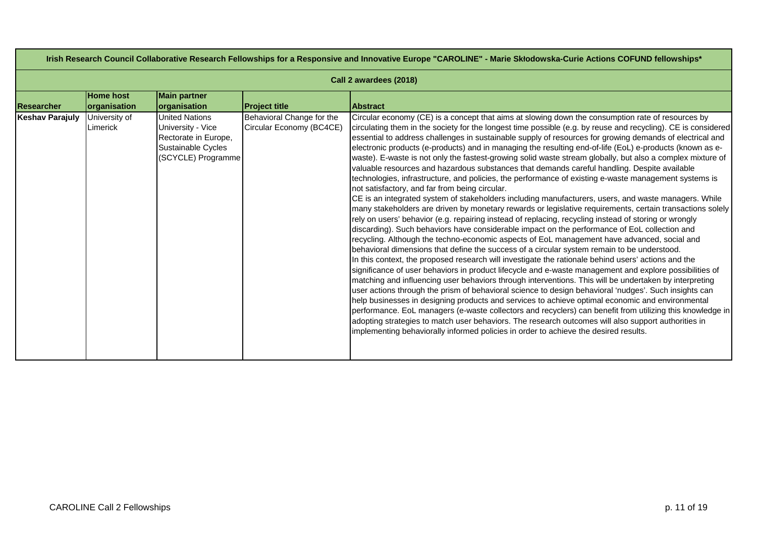| Irish Research Council Collaborative Research Fellowships for a Responsive and Innovative Europe "CAROLINE" - Marie Skłodowska-Curie Actions COFUND fellowships* |                                  |                                                                                                                |                                                       |                                                                                                                                                                                                                                                                                                                                                                                                                                                                                                                                                                                                                                                                                                                                                                                                                                                                                                                                                                                                                                                                                                                                                                                                                                                                                                                                                                                                                                                                                                                                                                                                                                                                                                                                                                                                                                                                                                                                                                                                                                                                                                                                                                                                                                                                                                       |  |  |
|------------------------------------------------------------------------------------------------------------------------------------------------------------------|----------------------------------|----------------------------------------------------------------------------------------------------------------|-------------------------------------------------------|-------------------------------------------------------------------------------------------------------------------------------------------------------------------------------------------------------------------------------------------------------------------------------------------------------------------------------------------------------------------------------------------------------------------------------------------------------------------------------------------------------------------------------------------------------------------------------------------------------------------------------------------------------------------------------------------------------------------------------------------------------------------------------------------------------------------------------------------------------------------------------------------------------------------------------------------------------------------------------------------------------------------------------------------------------------------------------------------------------------------------------------------------------------------------------------------------------------------------------------------------------------------------------------------------------------------------------------------------------------------------------------------------------------------------------------------------------------------------------------------------------------------------------------------------------------------------------------------------------------------------------------------------------------------------------------------------------------------------------------------------------------------------------------------------------------------------------------------------------------------------------------------------------------------------------------------------------------------------------------------------------------------------------------------------------------------------------------------------------------------------------------------------------------------------------------------------------------------------------------------------------------------------------------------------------|--|--|
|                                                                                                                                                                  | Call 2 awardees (2018)           |                                                                                                                |                                                       |                                                                                                                                                                                                                                                                                                                                                                                                                                                                                                                                                                                                                                                                                                                                                                                                                                                                                                                                                                                                                                                                                                                                                                                                                                                                                                                                                                                                                                                                                                                                                                                                                                                                                                                                                                                                                                                                                                                                                                                                                                                                                                                                                                                                                                                                                                       |  |  |
| <b>Researcher</b>                                                                                                                                                | <b>Home host</b><br>organisation | <b>Main partner</b><br>organisation                                                                            | <b>Project title</b>                                  | <b>Abstract</b>                                                                                                                                                                                                                                                                                                                                                                                                                                                                                                                                                                                                                                                                                                                                                                                                                                                                                                                                                                                                                                                                                                                                                                                                                                                                                                                                                                                                                                                                                                                                                                                                                                                                                                                                                                                                                                                                                                                                                                                                                                                                                                                                                                                                                                                                                       |  |  |
| <b>Keshav Parajuly</b>                                                                                                                                           | University of<br>Limerick        | <b>United Nations</b><br>University - Vice<br>Rectorate in Europe,<br>Sustainable Cycles<br>(SCYCLE) Programme | Behavioral Change for the<br>Circular Economy (BC4CE) | Circular economy (CE) is a concept that aims at slowing down the consumption rate of resources by<br>circulating them in the society for the longest time possible (e.g. by reuse and recycling). CE is considered<br>essential to address challenges in sustainable supply of resources for growing demands of electrical and<br>electronic products (e-products) and in managing the resulting end-of-life (EoL) e-products (known as e-<br>waste). E-waste is not only the fastest-growing solid waste stream globally, but also a complex mixture of<br>valuable resources and hazardous substances that demands careful handling. Despite available<br>technologies, infrastructure, and policies, the performance of existing e-waste management systems is<br>not satisfactory, and far from being circular.<br>CE is an integrated system of stakeholders including manufacturers, users, and waste managers. While<br>many stakeholders are driven by monetary rewards or legislative requirements, certain transactions solely<br>rely on users' behavior (e.g. repairing instead of replacing, recycling instead of storing or wrongly<br>discarding). Such behaviors have considerable impact on the performance of EoL collection and<br>recycling. Although the techno-economic aspects of EoL management have advanced, social and<br>behavioral dimensions that define the success of a circular system remain to be understood.<br>In this context, the proposed research will investigate the rationale behind users' actions and the<br>significance of user behaviors in product lifecycle and e-waste management and explore possibilities of<br>matching and influencing user behaviors through interventions. This will be undertaken by interpreting<br>user actions through the prism of behavioral science to design behavioral 'nudges'. Such insights can<br>help businesses in designing products and services to achieve optimal economic and environmental<br>performance. EoL managers (e-waste collectors and recyclers) can benefit from utilizing this knowledge in<br>adopting strategies to match user behaviors. The research outcomes will also support authorities in<br>implementing behaviorally informed policies in order to achieve the desired results. |  |  |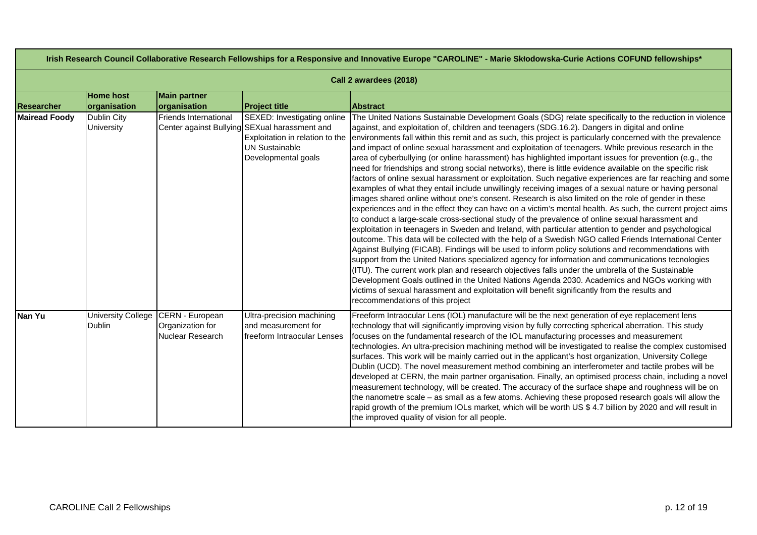|                      | Irish Research Council Collaborative Research Fellowships for a Responsive and Innovative Europe "CAROLINE" - Marie Skłodowska-Curie Actions COFUND fellowships* |                                                         |                                                                                                                                                                 |                                                                                                                                                                                                                                                                                                                                                                                                                                                                                                                                                                                                                                                                                                                                                                                                                                                                                                                                                                                                                                                                                                                                                                                                                                                                                                                                                                                                                                                                                                                                                                                                                                                                                                                                                                                                                                                                                                                                                                                     |  |  |
|----------------------|------------------------------------------------------------------------------------------------------------------------------------------------------------------|---------------------------------------------------------|-----------------------------------------------------------------------------------------------------------------------------------------------------------------|-------------------------------------------------------------------------------------------------------------------------------------------------------------------------------------------------------------------------------------------------------------------------------------------------------------------------------------------------------------------------------------------------------------------------------------------------------------------------------------------------------------------------------------------------------------------------------------------------------------------------------------------------------------------------------------------------------------------------------------------------------------------------------------------------------------------------------------------------------------------------------------------------------------------------------------------------------------------------------------------------------------------------------------------------------------------------------------------------------------------------------------------------------------------------------------------------------------------------------------------------------------------------------------------------------------------------------------------------------------------------------------------------------------------------------------------------------------------------------------------------------------------------------------------------------------------------------------------------------------------------------------------------------------------------------------------------------------------------------------------------------------------------------------------------------------------------------------------------------------------------------------------------------------------------------------------------------------------------------------|--|--|
|                      | Call 2 awardees (2018)                                                                                                                                           |                                                         |                                                                                                                                                                 |                                                                                                                                                                                                                                                                                                                                                                                                                                                                                                                                                                                                                                                                                                                                                                                                                                                                                                                                                                                                                                                                                                                                                                                                                                                                                                                                                                                                                                                                                                                                                                                                                                                                                                                                                                                                                                                                                                                                                                                     |  |  |
| <b>Researcher</b>    | <b>Home host</b><br>organisation                                                                                                                                 | <b>Main partner</b><br>organisation                     | <b>Project title</b>                                                                                                                                            | <b>Abstract</b>                                                                                                                                                                                                                                                                                                                                                                                                                                                                                                                                                                                                                                                                                                                                                                                                                                                                                                                                                                                                                                                                                                                                                                                                                                                                                                                                                                                                                                                                                                                                                                                                                                                                                                                                                                                                                                                                                                                                                                     |  |  |
| <b>Mairead Foody</b> | <b>Dublin City</b><br><b>University</b>                                                                                                                          | Friends International                                   | SEXED: Investigating online<br>Center against Bullying SEXual harassment and<br>Exploitation in relation to the<br><b>UN Sustainable</b><br>Developmental goals | The United Nations Sustainable Development Goals (SDG) relate specifically to the reduction in violence<br>against, and exploitation of, children and teenagers (SDG.16.2). Dangers in digital and online<br>environments fall within this remit and as such, this project is particularly concerned with the prevalence<br>and impact of online sexual harassment and exploitation of teenagers. While previous research in the<br>area of cyberbullying (or online harassment) has highlighted important issues for prevention (e.g., the<br>need for friendships and strong social networks), there is little evidence available on the specific risk<br>factors of online sexual harassment or exploitation. Such negative experiences are far reaching and some<br>examples of what they entail include unwillingly receiving images of a sexual nature or having personal<br>images shared online without one's consent. Research is also limited on the role of gender in these<br>experiences and in the effect they can have on a victim's mental health. As such, the current project aims<br>to conduct a large-scale cross-sectional study of the prevalence of online sexual harassment and<br>exploitation in teenagers in Sweden and Ireland, with particular attention to gender and psychological<br>outcome. This data will be collected with the help of a Swedish NGO called Friends International Center<br>Against Bullying (FICAB). Findings will be used to inform policy solutions and recommendations with<br>support from the United Nations specialized agency for information and communications tecnologies<br>(ITU). The current work plan and research objectives falls under the umbrella of the Sustainable<br>Development Goals outlined in the United Nations Agenda 2030. Academics and NGOs working with<br>victims of sexual harassment and exploitation will benefit significantly from the results and<br>reccommendations of this project |  |  |
| Nan Yu               | <b>University College</b><br><b>Dublin</b>                                                                                                                       | CERN - European<br>Organization for<br>Nuclear Research | Ultra-precision machining<br>and measurement for<br>freeform Intraocular Lenses                                                                                 | Freeform Intraocular Lens (IOL) manufacture will be the next generation of eye replacement lens<br>technology that will significantly improving vision by fully correcting spherical aberration. This study<br>focuses on the fundamental research of the IOL manufacturing processes and measurement<br>technologies. An ultra-precision machining method will be investigated to realise the complex customised<br>surfaces. This work will be mainly carried out in the applicant's host organization, University College<br>Dublin (UCD). The novel measurement method combining an interferometer and tactile probes will be<br>developed at CERN, the main partner organisation. Finally, an optimised process chain, including a novel<br>measurement technology, will be created. The accuracy of the surface shape and roughness will be on<br>the nanometre scale - as small as a few atoms. Achieving these proposed research goals will allow the<br>rapid growth of the premium IOLs market, which will be worth US \$4.7 billion by 2020 and will result in<br>the improved quality of vision for all people.                                                                                                                                                                                                                                                                                                                                                                                                                                                                                                                                                                                                                                                                                                                                                                                                                                                         |  |  |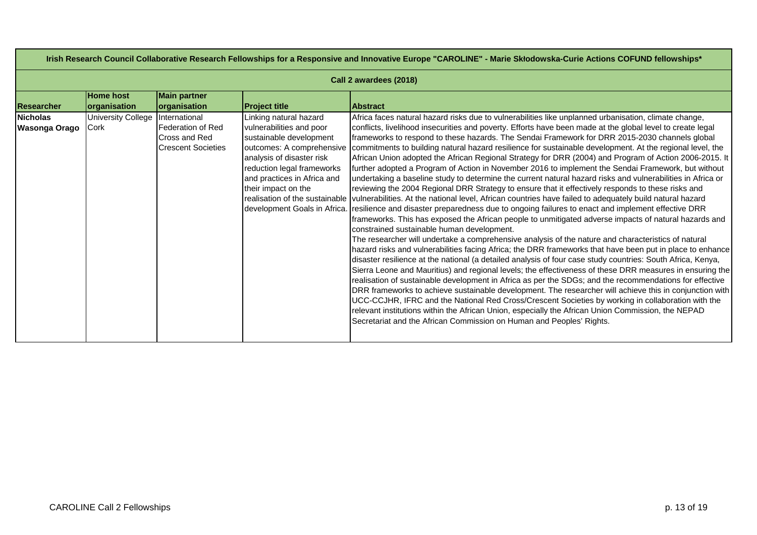| Irish Research Council Collaborative Research Fellowships for a Responsive and Innovative Europe "CAROLINE" - Marie Skłodowska-Curie Actions COFUND fellowships* |                    |                           |                              |                                                                                                                                         |  |
|------------------------------------------------------------------------------------------------------------------------------------------------------------------|--------------------|---------------------------|------------------------------|-----------------------------------------------------------------------------------------------------------------------------------------|--|
| Call 2 awardees (2018)                                                                                                                                           |                    |                           |                              |                                                                                                                                         |  |
|                                                                                                                                                                  | <b>Home host</b>   | <b>Main partner</b>       |                              |                                                                                                                                         |  |
| Researcher                                                                                                                                                       | organisation       | organisation              | <b>Project title</b>         | <b>Abstract</b>                                                                                                                         |  |
| <b>Nicholas</b>                                                                                                                                                  | University College | International             | Linking natural hazard       | Africa faces natural hazard risks due to vulnerabilities like unplanned urbanisation, climate change,                                   |  |
| Wasonga Orago                                                                                                                                                    | Cork               | Federation of Red         | vulnerabilities and poor     | conflicts, livelihood insecurities and poverty. Efforts have been made at the global level to create legal                              |  |
|                                                                                                                                                                  |                    | Cross and Red             | sustainable development      | frameworks to respond to these hazards. The Sendai Framework for DRR 2015-2030 channels global                                          |  |
|                                                                                                                                                                  |                    | <b>Crescent Societies</b> | outcomes: A comprehensive    | commitments to building natural hazard resilience for sustainable development. At the regional level, the                               |  |
|                                                                                                                                                                  |                    |                           | analysis of disaster risk    | African Union adopted the African Regional Strategy for DRR (2004) and Program of Action 2006-2015. It                                  |  |
|                                                                                                                                                                  |                    |                           | reduction legal frameworks   | further adopted a Program of Action in November 2016 to implement the Sendai Framework, but without                                     |  |
|                                                                                                                                                                  |                    |                           | and practices in Africa and  | undertaking a baseline study to determine the current natural hazard risks and vulnerabilities in Africa or                             |  |
|                                                                                                                                                                  |                    |                           | their impact on the          | reviewing the 2004 Regional DRR Strategy to ensure that it effectively responds to these risks and                                      |  |
|                                                                                                                                                                  |                    |                           |                              | realisation of the sustainable vulnerabilities. At the national level, African countries have failed to adequately build natural hazard |  |
|                                                                                                                                                                  |                    |                           | development Goals in Africa. | resilience and disaster preparedness due to ongoing failures to enact and implement effective DRR                                       |  |
|                                                                                                                                                                  |                    |                           |                              | frameworks. This has exposed the African people to unmitigated adverse impacts of natural hazards and                                   |  |
|                                                                                                                                                                  |                    |                           |                              | constrained sustainable human development.                                                                                              |  |
|                                                                                                                                                                  |                    |                           |                              | The researcher will undertake a comprehensive analysis of the nature and characteristics of natural                                     |  |
|                                                                                                                                                                  |                    |                           |                              | hazard risks and vulnerabilities facing Africa; the DRR frameworks that have been put in place to enhance                               |  |
|                                                                                                                                                                  |                    |                           |                              | disaster resilience at the national (a detailed analysis of four case study countries: South Africa, Kenya,                             |  |
|                                                                                                                                                                  |                    |                           |                              | Sierra Leone and Mauritius) and regional levels; the effectiveness of these DRR measures in ensuring the                                |  |
|                                                                                                                                                                  |                    |                           |                              | realisation of sustainable development in Africa as per the SDGs; and the recommendations for effective                                 |  |
|                                                                                                                                                                  |                    |                           |                              | DRR frameworks to achieve sustainable development. The researcher will achieve this in conjunction with                                 |  |
|                                                                                                                                                                  |                    |                           |                              | UCC-CCJHR, IFRC and the National Red Cross/Crescent Societies by working in collaboration with the                                      |  |
|                                                                                                                                                                  |                    |                           |                              | relevant institutions within the African Union, especially the African Union Commission, the NEPAD                                      |  |
|                                                                                                                                                                  |                    |                           |                              | Secretariat and the African Commission on Human and Peoples' Rights.                                                                    |  |
|                                                                                                                                                                  |                    |                           |                              |                                                                                                                                         |  |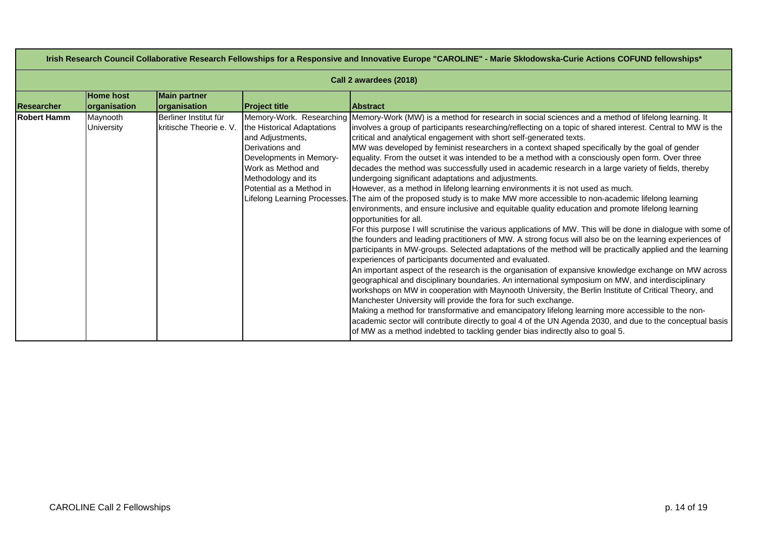| Irish Research Council Collaborative Research Fellowships for a Responsive and Innovative Europe "CAROLINE" - Marie Skłodowska-Curie Actions COFUND fellowships* |                               |                                                  |                                                                                                                                                                                                       |                                                                                                                                                                                                                                                                                                                                                                                                                                                                                                                                                                                                                                                                                                                                                                                                                                                                                                                                                                                                                                                                                                                                                                                                                                                                                                                                                                                                                                                                                                                                                                                                                                                                                                                                                                                                                                                                                                                                                                                                                                                                                                         |  |
|------------------------------------------------------------------------------------------------------------------------------------------------------------------|-------------------------------|--------------------------------------------------|-------------------------------------------------------------------------------------------------------------------------------------------------------------------------------------------------------|---------------------------------------------------------------------------------------------------------------------------------------------------------------------------------------------------------------------------------------------------------------------------------------------------------------------------------------------------------------------------------------------------------------------------------------------------------------------------------------------------------------------------------------------------------------------------------------------------------------------------------------------------------------------------------------------------------------------------------------------------------------------------------------------------------------------------------------------------------------------------------------------------------------------------------------------------------------------------------------------------------------------------------------------------------------------------------------------------------------------------------------------------------------------------------------------------------------------------------------------------------------------------------------------------------------------------------------------------------------------------------------------------------------------------------------------------------------------------------------------------------------------------------------------------------------------------------------------------------------------------------------------------------------------------------------------------------------------------------------------------------------------------------------------------------------------------------------------------------------------------------------------------------------------------------------------------------------------------------------------------------------------------------------------------------------------------------------------------------|--|
| Call 2 awardees (2018)                                                                                                                                           |                               |                                                  |                                                                                                                                                                                                       |                                                                                                                                                                                                                                                                                                                                                                                                                                                                                                                                                                                                                                                                                                                                                                                                                                                                                                                                                                                                                                                                                                                                                                                                                                                                                                                                                                                                                                                                                                                                                                                                                                                                                                                                                                                                                                                                                                                                                                                                                                                                                                         |  |
|                                                                                                                                                                  | <b>Home host</b>              | <b>Main partner</b>                              |                                                                                                                                                                                                       |                                                                                                                                                                                                                                                                                                                                                                                                                                                                                                                                                                                                                                                                                                                                                                                                                                                                                                                                                                                                                                                                                                                                                                                                                                                                                                                                                                                                                                                                                                                                                                                                                                                                                                                                                                                                                                                                                                                                                                                                                                                                                                         |  |
| Researcher                                                                                                                                                       | organisation                  | organisation                                     | <b>Project title</b>                                                                                                                                                                                  | <b>Abstract</b>                                                                                                                                                                                                                                                                                                                                                                                                                                                                                                                                                                                                                                                                                                                                                                                                                                                                                                                                                                                                                                                                                                                                                                                                                                                                                                                                                                                                                                                                                                                                                                                                                                                                                                                                                                                                                                                                                                                                                                                                                                                                                         |  |
| <b>Robert Hamm</b>                                                                                                                                               | Maynooth<br><b>University</b> | Berliner Institut für<br>kritische Theorie e. V. | the Historical Adaptations<br>and Adjustments,<br>Derivations and<br>Developments in Memory-<br>Work as Method and<br>Methodology and its<br>Potential as a Method in<br>Lifelong Learning Processes. | Memory-Work. Researching Memory-Work (MW) is a method for research in social sciences and a method of lifelong learning. It<br>involves a group of participants researching/reflecting on a topic of shared interest. Central to MW is the<br>critical and analytical engagement with short self-generated texts.<br>MW was developed by feminist researchers in a context shaped specifically by the goal of gender<br>equality. From the outset it was intended to be a method with a consciously open form. Over three<br>decades the method was successfully used in academic research in a large variety of fields, thereby<br>undergoing significant adaptations and adjustments.<br>However, as a method in lifelong learning environments it is not used as much.<br>The aim of the proposed study is to make MW more accessible to non-academic lifelong learning<br>environments, and ensure inclusive and equitable quality education and promote lifelong learning<br>opportunities for all.<br>For this purpose I will scrutinise the various applications of MW. This will be done in dialogue with some of<br>the founders and leading practitioners of MW. A strong focus will also be on the learning experiences of<br>participants in MW-groups. Selected adaptations of the method will be practically applied and the learning<br>experiences of participants documented and evaluated.<br>An important aspect of the research is the organisation of expansive knowledge exchange on MW across<br>geographical and disciplinary boundaries. An international symposium on MW, and interdisciplinary<br>workshops on MW in cooperation with Maynooth University, the Berlin Institute of Critical Theory, and<br>Manchester University will provide the fora for such exchange.<br>Making a method for transformative and emancipatory lifelong learning more accessible to the non-<br>academic sector will contribute directly to goal 4 of the UN Agenda 2030, and due to the conceptual basis<br>of MW as a method indebted to tackling gender bias indirectly also to goal 5. |  |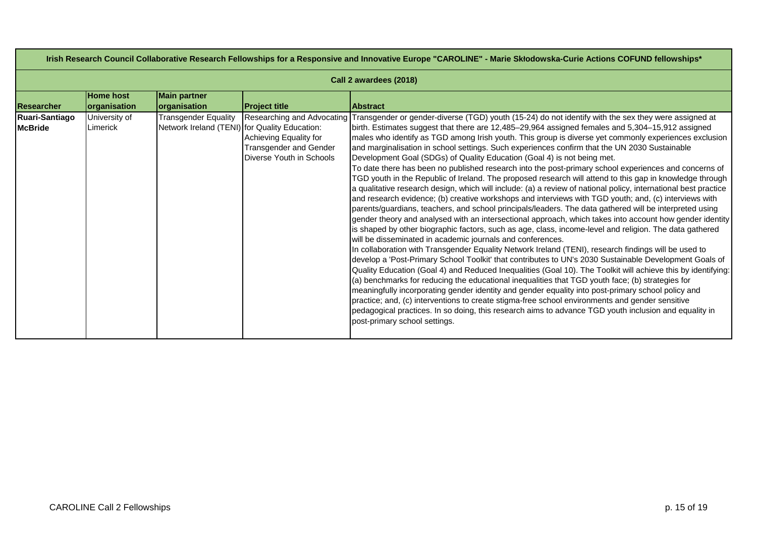| Irish Research Council Collaborative Research Fellowships for a Responsive and Innovative Europe "CAROLINE" - Marie Skłodowska-Curie Actions COFUND fellowships* |                                           |                                                                                       |                                                                                                             |                                                                                                                                                                                                                                                                                                                                                                                                                                                                                                                                                                                                                                                                                                                                                                                                                                                                                                                                                                                                                                                                                                                                                                                                                                                                                                                                                                                                                                                                                                                                                                                                                                                                                                                                                                                                                                                                                                                                                                                                                                                                                                                                                                    |  |
|------------------------------------------------------------------------------------------------------------------------------------------------------------------|-------------------------------------------|---------------------------------------------------------------------------------------|-------------------------------------------------------------------------------------------------------------|--------------------------------------------------------------------------------------------------------------------------------------------------------------------------------------------------------------------------------------------------------------------------------------------------------------------------------------------------------------------------------------------------------------------------------------------------------------------------------------------------------------------------------------------------------------------------------------------------------------------------------------------------------------------------------------------------------------------------------------------------------------------------------------------------------------------------------------------------------------------------------------------------------------------------------------------------------------------------------------------------------------------------------------------------------------------------------------------------------------------------------------------------------------------------------------------------------------------------------------------------------------------------------------------------------------------------------------------------------------------------------------------------------------------------------------------------------------------------------------------------------------------------------------------------------------------------------------------------------------------------------------------------------------------------------------------------------------------------------------------------------------------------------------------------------------------------------------------------------------------------------------------------------------------------------------------------------------------------------------------------------------------------------------------------------------------------------------------------------------------------------------------------------------------|--|
| Call 2 awardees (2018)                                                                                                                                           |                                           |                                                                                       |                                                                                                             |                                                                                                                                                                                                                                                                                                                                                                                                                                                                                                                                                                                                                                                                                                                                                                                                                                                                                                                                                                                                                                                                                                                                                                                                                                                                                                                                                                                                                                                                                                                                                                                                                                                                                                                                                                                                                                                                                                                                                                                                                                                                                                                                                                    |  |
| Researcher                                                                                                                                                       | <b>Home host</b>                          | <b>Main partner</b>                                                                   |                                                                                                             | <b>Abstract</b>                                                                                                                                                                                                                                                                                                                                                                                                                                                                                                                                                                                                                                                                                                                                                                                                                                                                                                                                                                                                                                                                                                                                                                                                                                                                                                                                                                                                                                                                                                                                                                                                                                                                                                                                                                                                                                                                                                                                                                                                                                                                                                                                                    |  |
| Ruari-Santiago<br><b>McBride</b>                                                                                                                                 | organisation<br>University of<br>Limerick | organisation<br>Transgender Equality<br>Network Ireland (TENI) for Quality Education: | <b>Project title</b><br>Achieving Equality for<br><b>Transgender and Gender</b><br>Diverse Youth in Schools | Researching and Advocating Transgender or gender-diverse (TGD) youth (15-24) do not identify with the sex they were assigned at<br>birth. Estimates suggest that there are 12,485–29,964 assigned females and 5,304–15,912 assigned<br>males who identify as TGD among Irish youth. This group is diverse yet commonly experiences exclusion<br>and marginalisation in school settings. Such experiences confirm that the UN 2030 Sustainable<br>Development Goal (SDGs) of Quality Education (Goal 4) is not being met.<br>To date there has been no published research into the post-primary school experiences and concerns of<br>TGD youth in the Republic of Ireland. The proposed research will attend to this gap in knowledge through<br>a qualitative research design, which will include: (a) a review of national policy, international best practice<br>and research evidence; (b) creative workshops and interviews with TGD youth; and, (c) interviews with<br>parents/guardians, teachers, and school principals/leaders. The data gathered will be interpreted using<br>gender theory and analysed with an intersectional approach, which takes into account how gender identity<br>is shaped by other biographic factors, such as age, class, income-level and religion. The data gathered<br>will be disseminated in academic journals and conferences.<br>In collaboration with Transgender Equality Network Ireland (TENI), research findings will be used to<br>develop a 'Post-Primary School Toolkit' that contributes to UN's 2030 Sustainable Development Goals of<br>Quality Education (Goal 4) and Reduced Inequalities (Goal 10). The Toolkit will achieve this by identifying:<br>(a) benchmarks for reducing the educational inequalities that TGD youth face; (b) strategies for<br>meaningfully incorporating gender identity and gender equality into post-primary school policy and<br>practice; and, (c) interventions to create stigma-free school environments and gender sensitive<br>pedagogical practices. In so doing, this research aims to advance TGD youth inclusion and equality in<br>post-primary school settings. |  |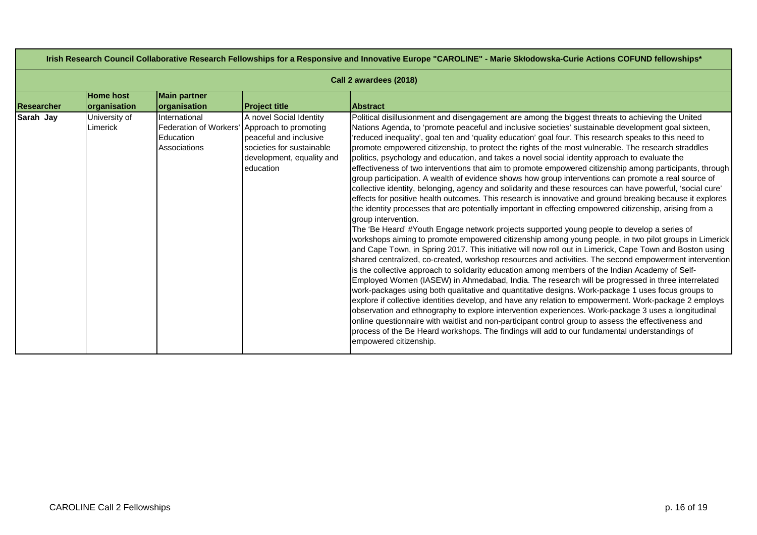| Irish Research Council Collaborative Research Fellowships for a Responsive and Innovative Europe "CAROLINE" - Marie Skłodowska-Curie Actions COFUND fellowships* |                                  |                                            |                                                                                                                                                                          |                                                                                                                                                                                                                                                                                                                                                                                                                                                                                                                                                                                                                                                                                                                                                                                                                                                                                                                                                                                                                                                                                                                                                                                                                                                                                                                                                                                                                                                                                                                                                                                                                                                                                                                                                                                                                                                                                                                                                                                                                                                                                                                                                                                                                                                                                                              |  |
|------------------------------------------------------------------------------------------------------------------------------------------------------------------|----------------------------------|--------------------------------------------|--------------------------------------------------------------------------------------------------------------------------------------------------------------------------|--------------------------------------------------------------------------------------------------------------------------------------------------------------------------------------------------------------------------------------------------------------------------------------------------------------------------------------------------------------------------------------------------------------------------------------------------------------------------------------------------------------------------------------------------------------------------------------------------------------------------------------------------------------------------------------------------------------------------------------------------------------------------------------------------------------------------------------------------------------------------------------------------------------------------------------------------------------------------------------------------------------------------------------------------------------------------------------------------------------------------------------------------------------------------------------------------------------------------------------------------------------------------------------------------------------------------------------------------------------------------------------------------------------------------------------------------------------------------------------------------------------------------------------------------------------------------------------------------------------------------------------------------------------------------------------------------------------------------------------------------------------------------------------------------------------------------------------------------------------------------------------------------------------------------------------------------------------------------------------------------------------------------------------------------------------------------------------------------------------------------------------------------------------------------------------------------------------------------------------------------------------------------------------------------------------|--|
| Call 2 awardees (2018)                                                                                                                                           |                                  |                                            |                                                                                                                                                                          |                                                                                                                                                                                                                                                                                                                                                                                                                                                                                                                                                                                                                                                                                                                                                                                                                                                                                                                                                                                                                                                                                                                                                                                                                                                                                                                                                                                                                                                                                                                                                                                                                                                                                                                                                                                                                                                                                                                                                                                                                                                                                                                                                                                                                                                                                                              |  |
| <b>Researcher</b>                                                                                                                                                | <b>Home host</b><br>organisation | <b>Main partner</b><br>organisation        | <b>Project title</b>                                                                                                                                                     | <b>Abstract</b>                                                                                                                                                                                                                                                                                                                                                                                                                                                                                                                                                                                                                                                                                                                                                                                                                                                                                                                                                                                                                                                                                                                                                                                                                                                                                                                                                                                                                                                                                                                                                                                                                                                                                                                                                                                                                                                                                                                                                                                                                                                                                                                                                                                                                                                                                              |  |
| Sarah Jay                                                                                                                                                        | University of<br>Limerick        | International<br>Education<br>Associations | A novel Social Identity<br>Federation of Workers' Approach to promoting<br>beaceful and inclusive<br>societies for sustainable<br>development, equality and<br>education | Political disillusionment and disengagement are among the biggest threats to achieving the United<br>Nations Agenda, to 'promote peaceful and inclusive societies' sustainable development goal sixteen,<br>reduced inequality', goal ten and 'quality education' goal four. This research speaks to this need to<br>promote empowered citizenship, to protect the rights of the most vulnerable. The research straddles<br>politics, psychology and education, and takes a novel social identity approach to evaluate the<br>effectiveness of two interventions that aim to promote empowered citizenship among participants, through<br>group participation. A wealth of evidence shows how group interventions can promote a real source of<br>collective identity, belonging, agency and solidarity and these resources can have powerful, 'social cure'<br>effects for positive health outcomes. This research is innovative and ground breaking because it explores<br>the identity processes that are potentially important in effecting empowered citizenship, arising from a<br>group intervention.<br>The 'Be Heard' #Youth Engage network projects supported young people to develop a series of<br>workshops aiming to promote empowered citizenship among young people, in two pilot groups in Limerick<br>and Cape Town, in Spring 2017. This initiative will now roll out in Limerick, Cape Town and Boston using<br>shared centralized, co-created, workshop resources and activities. The second empowerment intervention<br>is the collective approach to solidarity education among members of the Indian Academy of Self-<br>Employed Women (IASEW) in Ahmedabad, India. The research will be progressed in three interrelated<br>work-packages using both qualitative and quantitative designs. Work-package 1 uses focus groups to<br>explore if collective identities develop, and have any relation to empowerment. Work-package 2 employs<br>observation and ethnography to explore intervention experiences. Work-package 3 uses a longitudinal<br>online questionnaire with waitlist and non-participant control group to assess the effectiveness and<br>process of the Be Heard workshops. The findings will add to our fundamental understandings of<br>empowered citizenship. |  |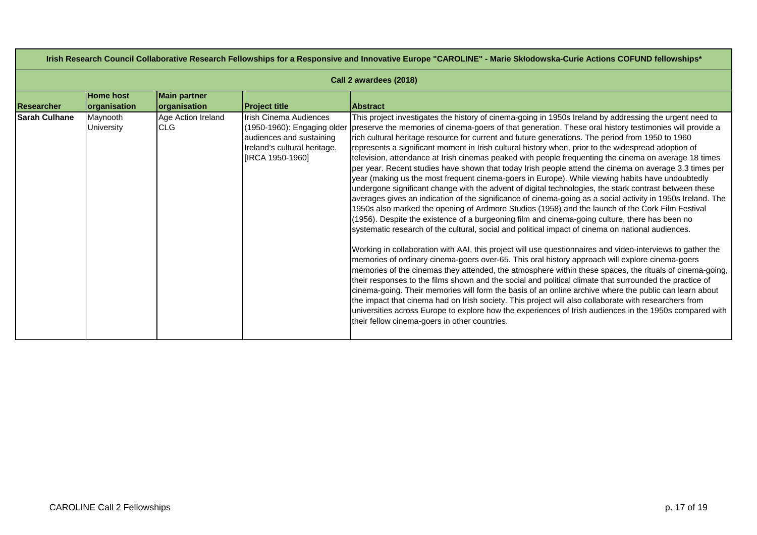| Irish Research Council Collaborative Research Fellowships for a Responsive and Innovative Europe "CAROLINE" - Marie Skłodowska-Curie Actions COFUND fellowships* |                                  |                                     |                                                                                                                                       |                                                                                                                                                                                                                                                                                                                                                                                                                                                                                                                                                                                                                                                                                                                                                                                                                                                                                                                                                                                                                                                                                                                                                                                                                                                                                                                                                                                                                                                                                                                                                                                                                                                                                                                                                                                                                                                                                                                                                                                                                                                                                                                |  |
|------------------------------------------------------------------------------------------------------------------------------------------------------------------|----------------------------------|-------------------------------------|---------------------------------------------------------------------------------------------------------------------------------------|----------------------------------------------------------------------------------------------------------------------------------------------------------------------------------------------------------------------------------------------------------------------------------------------------------------------------------------------------------------------------------------------------------------------------------------------------------------------------------------------------------------------------------------------------------------------------------------------------------------------------------------------------------------------------------------------------------------------------------------------------------------------------------------------------------------------------------------------------------------------------------------------------------------------------------------------------------------------------------------------------------------------------------------------------------------------------------------------------------------------------------------------------------------------------------------------------------------------------------------------------------------------------------------------------------------------------------------------------------------------------------------------------------------------------------------------------------------------------------------------------------------------------------------------------------------------------------------------------------------------------------------------------------------------------------------------------------------------------------------------------------------------------------------------------------------------------------------------------------------------------------------------------------------------------------------------------------------------------------------------------------------------------------------------------------------------------------------------------------------|--|
| Call 2 awardees (2018)                                                                                                                                           |                                  |                                     |                                                                                                                                       |                                                                                                                                                                                                                                                                                                                                                                                                                                                                                                                                                                                                                                                                                                                                                                                                                                                                                                                                                                                                                                                                                                                                                                                                                                                                                                                                                                                                                                                                                                                                                                                                                                                                                                                                                                                                                                                                                                                                                                                                                                                                                                                |  |
| Researcher                                                                                                                                                       | <b>Home host</b><br>organisation | <b>Main partner</b><br>organisation | <b>Project title</b>                                                                                                                  | <b>Abstract</b>                                                                                                                                                                                                                                                                                                                                                                                                                                                                                                                                                                                                                                                                                                                                                                                                                                                                                                                                                                                                                                                                                                                                                                                                                                                                                                                                                                                                                                                                                                                                                                                                                                                                                                                                                                                                                                                                                                                                                                                                                                                                                                |  |
| <b>Sarah Culhane</b>                                                                                                                                             | Maynooth<br>University           | Age Action Ireland<br><b>CLG</b>    | Irish Cinema Audiences<br>(1950-1960): Engaging older<br>audiences and sustaining<br>Ireland's cultural heritage.<br>[IRCA 1950-1960] | This project investigates the history of cinema-going in 1950s Ireland by addressing the urgent need to<br>preserve the memories of cinema-goers of that generation. These oral history testimonies will provide a<br>rich cultural heritage resource for current and future generations. The period from 1950 to 1960<br>represents a significant moment in Irish cultural history when, prior to the widespread adoption of<br>television, attendance at Irish cinemas peaked with people frequenting the cinema on average 18 times<br>per year. Recent studies have shown that today Irish people attend the cinema on average 3.3 times per<br>year (making us the most frequent cinema-goers in Europe). While viewing habits have undoubtedly<br>undergone significant change with the advent of digital technologies, the stark contrast between these<br>averages gives an indication of the significance of cinema-going as a social activity in 1950s Ireland. The<br>1950s also marked the opening of Ardmore Studios (1958) and the launch of the Cork Film Festival<br>(1956). Despite the existence of a burgeoning film and cinema-going culture, there has been no<br>systematic research of the cultural, social and political impact of cinema on national audiences.<br>Working in collaboration with AAI, this project will use questionnaires and video-interviews to gather the<br>memories of ordinary cinema-goers over-65. This oral history approach will explore cinema-goers<br>memories of the cinemas they attended, the atmosphere within these spaces, the rituals of cinema-going,<br>their responses to the films shown and the social and political climate that surrounded the practice of<br>cinema-going. Their memories will form the basis of an online archive where the public can learn about<br>the impact that cinema had on Irish society. This project will also collaborate with researchers from<br>universities across Europe to explore how the experiences of Irish audiences in the 1950s compared with<br>their fellow cinema-goers in other countries. |  |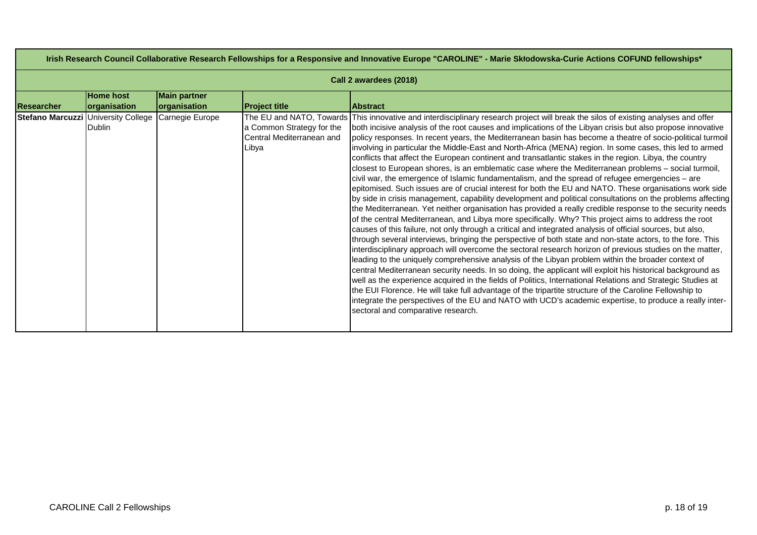| Irish Research Council Collaborative Research Fellowships for a Responsive and Innovative Europe "CAROLINE" - Marie Skłodowska-Curie Actions COFUND fellowships* |                                  |                                            |                                                                 |                                                                                                                                                                                                                                                                                                                                                                                                                                                                                                                                                                                                                                                                                                                                                                                                                                                                                                                                                                                                                                                                                                                                                                                                                                                                                                                                                                                                                                                                                                                                                                                                                                                                                                                                                                                                                                                                                                                                                                                                                                                                                                                                                                                            |  |
|------------------------------------------------------------------------------------------------------------------------------------------------------------------|----------------------------------|--------------------------------------------|-----------------------------------------------------------------|--------------------------------------------------------------------------------------------------------------------------------------------------------------------------------------------------------------------------------------------------------------------------------------------------------------------------------------------------------------------------------------------------------------------------------------------------------------------------------------------------------------------------------------------------------------------------------------------------------------------------------------------------------------------------------------------------------------------------------------------------------------------------------------------------------------------------------------------------------------------------------------------------------------------------------------------------------------------------------------------------------------------------------------------------------------------------------------------------------------------------------------------------------------------------------------------------------------------------------------------------------------------------------------------------------------------------------------------------------------------------------------------------------------------------------------------------------------------------------------------------------------------------------------------------------------------------------------------------------------------------------------------------------------------------------------------------------------------------------------------------------------------------------------------------------------------------------------------------------------------------------------------------------------------------------------------------------------------------------------------------------------------------------------------------------------------------------------------------------------------------------------------------------------------------------------------|--|
| Call 2 awardees (2018)                                                                                                                                           |                                  |                                            |                                                                 |                                                                                                                                                                                                                                                                                                                                                                                                                                                                                                                                                                                                                                                                                                                                                                                                                                                                                                                                                                                                                                                                                                                                                                                                                                                                                                                                                                                                                                                                                                                                                                                                                                                                                                                                                                                                                                                                                                                                                                                                                                                                                                                                                                                            |  |
| Researcher                                                                                                                                                       | <b>Home host</b><br>organisation | <b>Main partner</b><br><b>organisation</b> | <b>Project title</b>                                            | <b>IAbstract</b>                                                                                                                                                                                                                                                                                                                                                                                                                                                                                                                                                                                                                                                                                                                                                                                                                                                                                                                                                                                                                                                                                                                                                                                                                                                                                                                                                                                                                                                                                                                                                                                                                                                                                                                                                                                                                                                                                                                                                                                                                                                                                                                                                                           |  |
| Stefano Marcuzzi University College                                                                                                                              | <b>Dublin</b>                    | Carnegie Europe                            | a Common Strategy for the<br>Central Mediterranean and<br>Libya | The EU and NATO, Towards This innovative and interdisciplinary research project will break the silos of existing analyses and offer<br>both incisive analysis of the root causes and implications of the Libyan crisis but also propose innovative<br>policy responses. In recent years, the Mediterranean basin has become a theatre of socio-political turmoil<br>involving in particular the Middle-East and North-Africa (MENA) region. In some cases, this led to armed<br>conflicts that affect the European continent and transatlantic stakes in the region. Libya, the country<br>closest to European shores, is an emblematic case where the Mediterranean problems - social turmoil,<br>civil war, the emergence of Islamic fundamentalism, and the spread of refugee emergencies – are<br>epitomised. Such issues are of crucial interest for both the EU and NATO. These organisations work side<br>by side in crisis management, capability development and political consultations on the problems affecting<br>the Mediterranean. Yet neither organisation has provided a really credible response to the security needs<br>of the central Mediterranean, and Libya more specifically. Why? This project aims to address the root<br>causes of this failure, not only through a critical and integrated analysis of official sources, but also,<br>through several interviews, bringing the perspective of both state and non-state actors, to the fore. This<br>interdisciplinary approach will overcome the sectoral research horizon of previous studies on the matter,<br>leading to the uniquely comprehensive analysis of the Libyan problem within the broader context of<br>central Mediterranean security needs. In so doing, the applicant will exploit his historical background as<br>well as the experience acquired in the fields of Politics, International Relations and Strategic Studies at<br>the EUI Florence. He will take full advantage of the tripartite structure of the Caroline Fellowship to<br>lintegrate the perspectives of the EU and NATO with UCD's academic expertise, to produce a really inter-<br>sectoral and comparative research. |  |